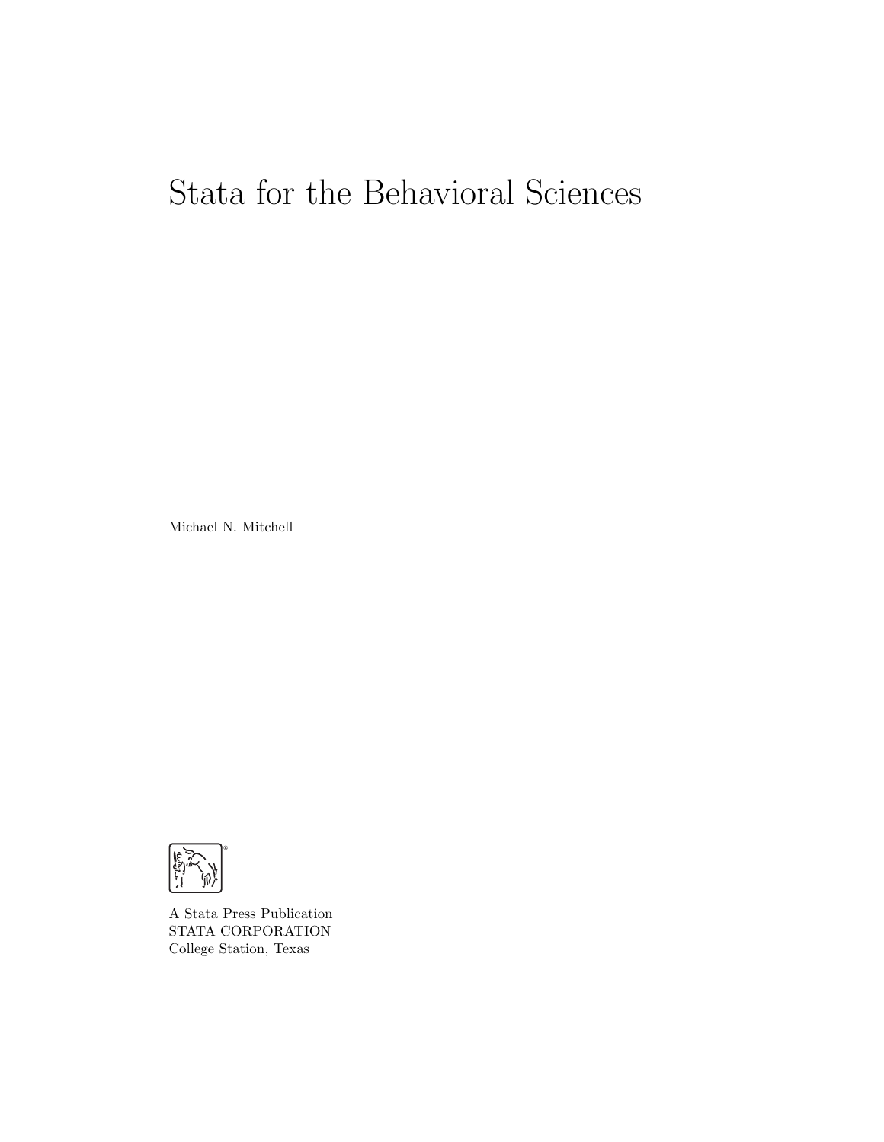# Stata for the Behavioral Sciences

Michael N. Mitchell



A Stata Press Publication STATA CORPORATION College Station, Texas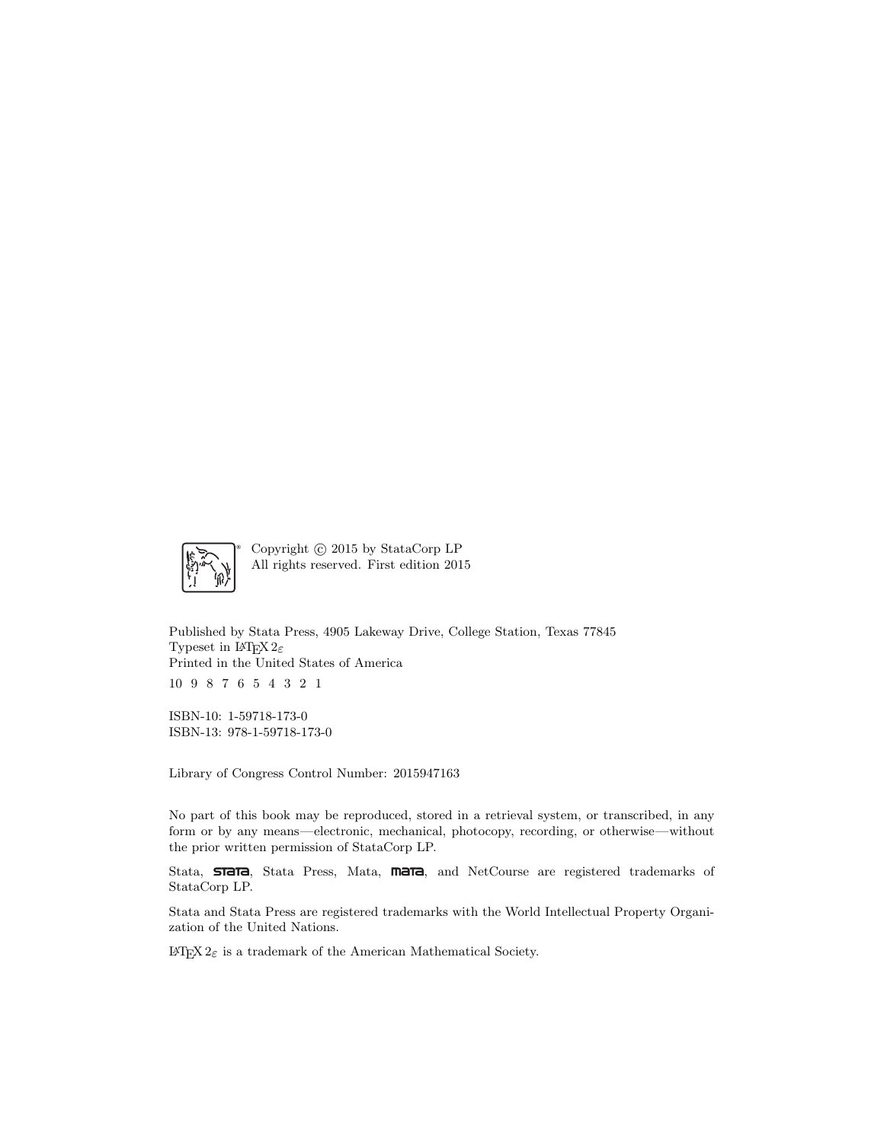

Copyright  $\odot$  2015 by StataCorp LP All rights reserved. First edition 2015

Published by Stata Press, 4905 Lakeway Drive, College Station, Texas 77845 Typeset in  $\mathbb{H}\Gamma\gamma X\,2\varepsilon$ Printed in the United States of America 10 9 8 7 6 5 4 3 2 1

ISBN-10: 1-59718-173-0 ISBN-13: 978-1-59718-173-0

Library of Congress Control Number: 2015947163

No part of this book may be reproduced, stored in a retrieval system, or transcribed, in any form or by any means—electronic, mechanical, photocopy, recording, or otherwise—without the prior written permission of StataCorp LP.

Stata, **STaTa**, Stata Press, Mata, **mata**, and NetCourse are registered trademarks of StataCorp LP.

Stata and Stata Press are registered trademarks with the World Intellectual Property Organization of the United Nations.

 $\mathbb{F}\to \mathbb{F}$ 2 $\varepsilon$  is a trademark of the American Mathematical Society.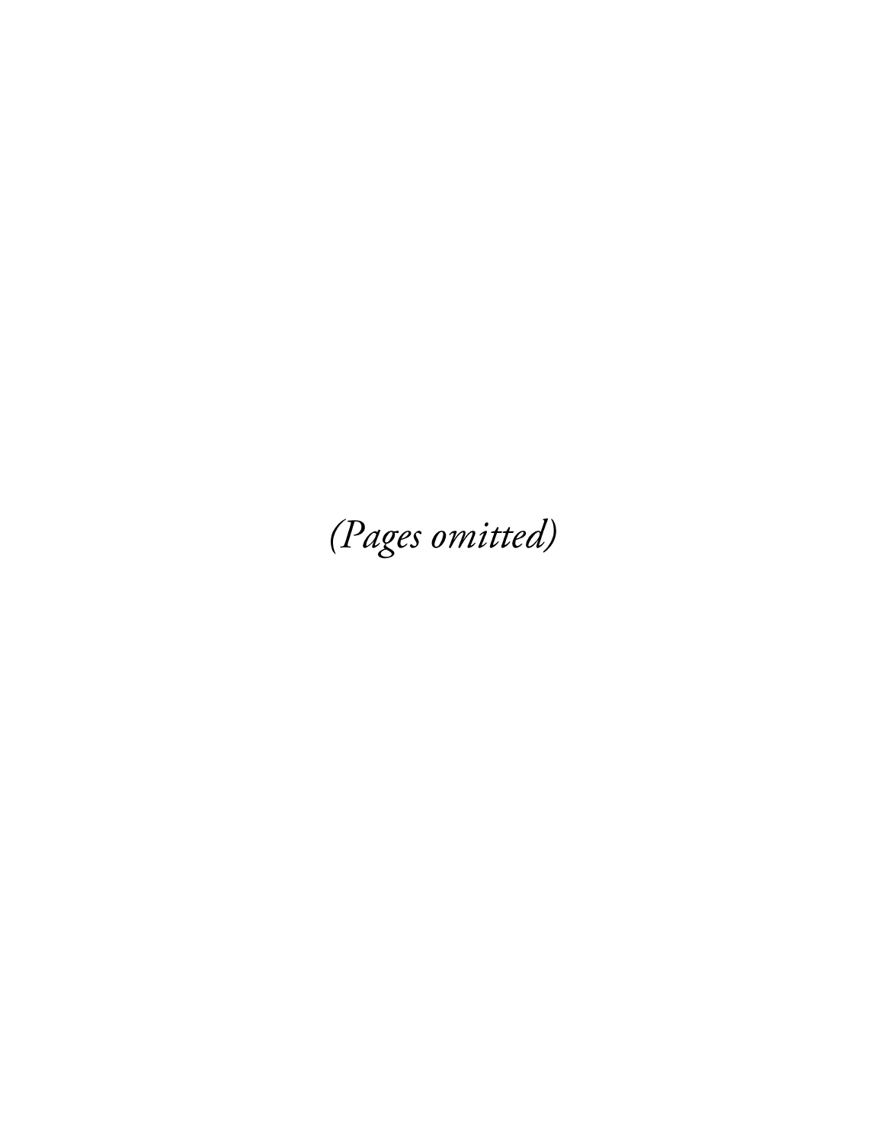(Pages omitted)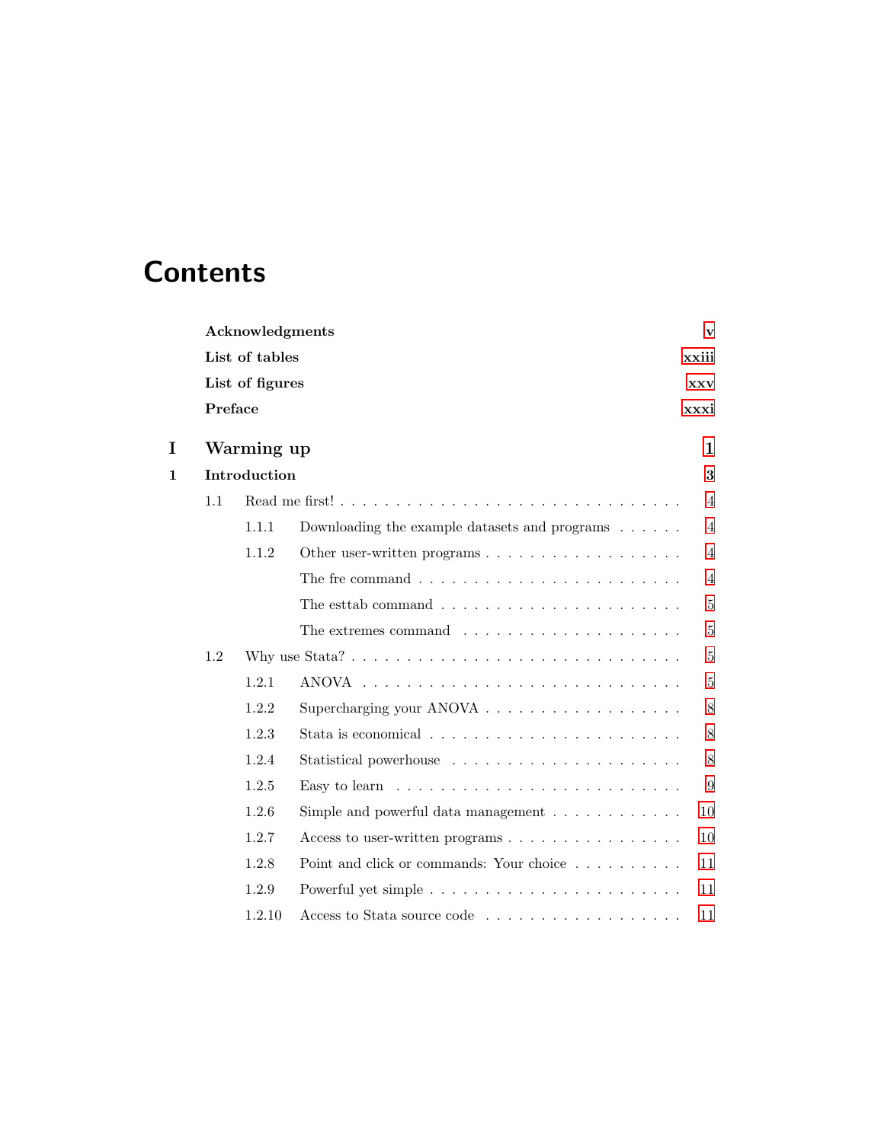# **Contents**

|   |                 | Acknowledgments |                                                                                                | v              |
|---|-----------------|-----------------|------------------------------------------------------------------------------------------------|----------------|
|   |                 | List of tables  |                                                                                                | xxiii          |
|   | List of figures |                 | <b>XXV</b>                                                                                     |                |
|   | Preface         |                 |                                                                                                | xxxi           |
| I |                 | Warming up      |                                                                                                | 1              |
| 1 |                 | Introduction    |                                                                                                | 3              |
|   | 1.1             |                 |                                                                                                | 4              |
|   |                 | 1.1.1           | Downloading the example datasets and programs $\ldots \ldots$                                  | 4              |
|   |                 | 1.1.2           | Other user-written programs $\dots \dots \dots \dots \dots \dots$                              | 4              |
|   |                 |                 | The fre command $\ldots \ldots \ldots \ldots \ldots \ldots \ldots \ldots$                      | $\overline{4}$ |
|   |                 |                 | The estab command $\ldots \ldots \ldots \ldots \ldots \ldots \ldots$                           | 5              |
|   |                 |                 | The extremes command $\ldots \ldots \ldots \ldots \ldots \ldots$                               | $\bf 5$        |
|   | 1.2             |                 |                                                                                                | 5              |
|   |                 | 1.2.1           |                                                                                                | 5              |
|   |                 | 1.2.2           | Supercharging your ANOVA $\ldots \ldots \ldots \ldots \ldots \ldots$                           | 8              |
|   |                 | 1.2.3           | Stata is economical $\ldots$ , $\ldots$ , $\ldots$ , $\ldots$ , $\ldots$ , $\ldots$ , $\ldots$ | 8              |
|   |                 | 1.2.4           |                                                                                                | 8              |
|   |                 | 1.2.5           | Easy to learn $\ldots \ldots \ldots \ldots \ldots \ldots \ldots \ldots$                        | 9              |
|   |                 | 1.2.6           | Simple and powerful data management $\ldots \ldots \ldots \ldots$                              | 10             |
|   |                 | 1.2.7           | Access to user-written programs $\dots \dots \dots \dots \dots \dots$                          | 10             |
|   |                 | 1.2.8           | Point and click or commands: Your choice                                                       | 11             |
|   |                 | 1.2.9           |                                                                                                | 11             |
|   |                 | 1.2.10          |                                                                                                | 11             |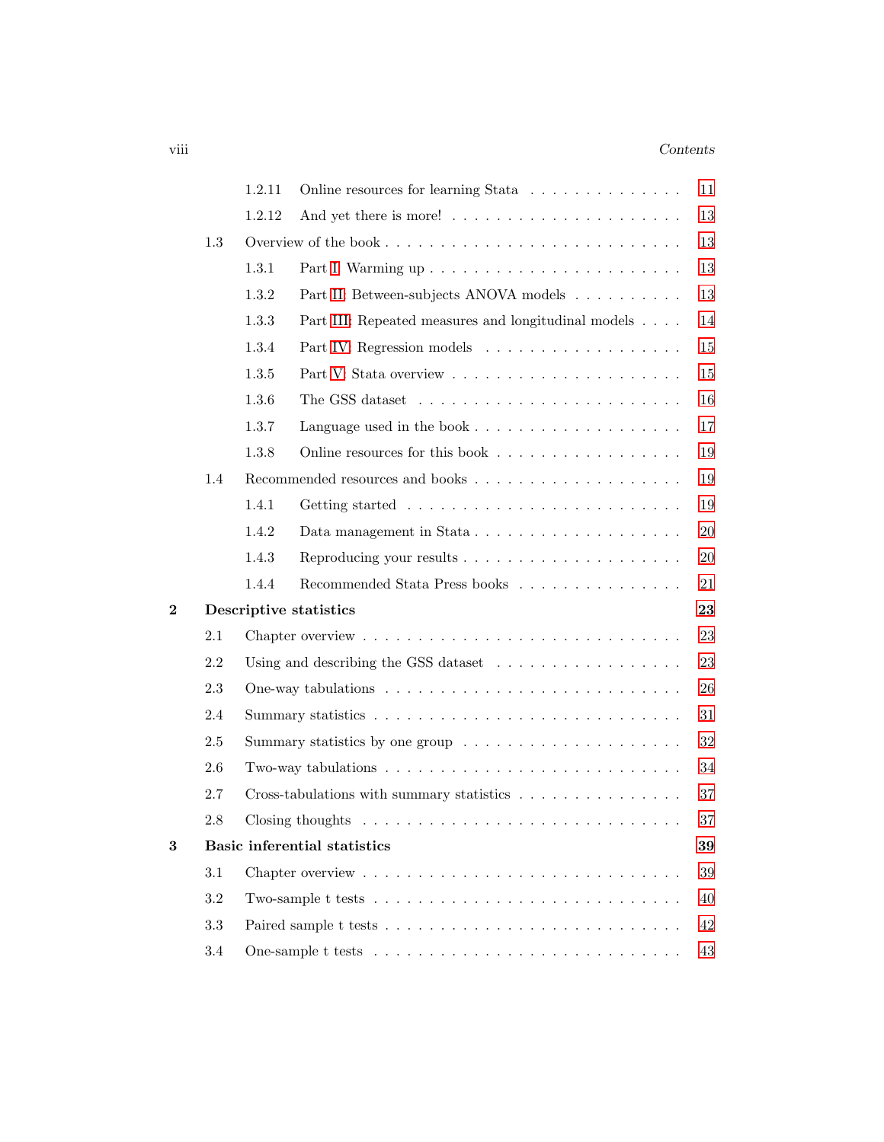### viii Contents

|                         |         | 1.2.11 | Online resources for learning Stata                                                  | 11     |
|-------------------------|---------|--------|--------------------------------------------------------------------------------------|--------|
|                         |         | 1.2.12 |                                                                                      | 13     |
|                         | 1.3     |        |                                                                                      | 13     |
|                         |         | 1.3.1  |                                                                                      | 13     |
|                         |         | 1.3.2  | Part II: Between-subjects ANOVA models                                               | 13     |
|                         |         | 1.3.3  | Part III: Repeated measures and longitudinal models                                  | 14     |
|                         |         | 1.3.4  |                                                                                      | 15     |
|                         |         | 1.3.5  |                                                                                      | 15     |
|                         |         | 1.3.6  | The GSS dataset $\dots \dots \dots \dots \dots \dots \dots \dots \dots$              | 16     |
|                         |         | 1.3.7  | Language used in the book $\dots \dots \dots \dots \dots \dots \dots$                | 17     |
|                         |         | 1.3.8  | Online resources for this book                                                       | 19     |
|                         | 1.4     |        |                                                                                      | 19     |
|                         |         | 1.4.1  |                                                                                      | 19     |
|                         |         | 1.4.2  |                                                                                      | $20\,$ |
|                         |         | 1.4.3  |                                                                                      | $20\,$ |
|                         |         | 1.4.4  | Recommended Stata Press books                                                        | 21     |
| $\overline{\mathbf{2}}$ |         |        | Descriptive statistics                                                               | 23     |
|                         | 2.1     |        |                                                                                      | 23     |
|                         | 2.2     |        | Using and describing the GSS dataset $\ldots \ldots \ldots \ldots \ldots \ldots$     | 23     |
|                         | 2.3     |        |                                                                                      | 26     |
|                         | 2.4     |        |                                                                                      | 31     |
|                         | $2.5\,$ |        | Summary statistics by one group $\dots \dots \dots \dots \dots \dots \dots$          | $32\,$ |
|                         | 2.6     |        | Two-way tabulations $\ldots \ldots \ldots \ldots \ldots \ldots \ldots \ldots \ldots$ | 34     |
|                         | 2.7     |        | Cross-tabulations with summary statistics                                            | 37     |
|                         | 2.8     |        |                                                                                      | $37\,$ |
| 3                       |         |        | <b>Basic inferential statistics</b>                                                  | 39     |
|                         | 3.1     |        |                                                                                      | 39     |
|                         | $3.2\,$ |        |                                                                                      | 40     |
|                         | 3.3     |        |                                                                                      | 42     |
|                         | 3.4     |        |                                                                                      | 43     |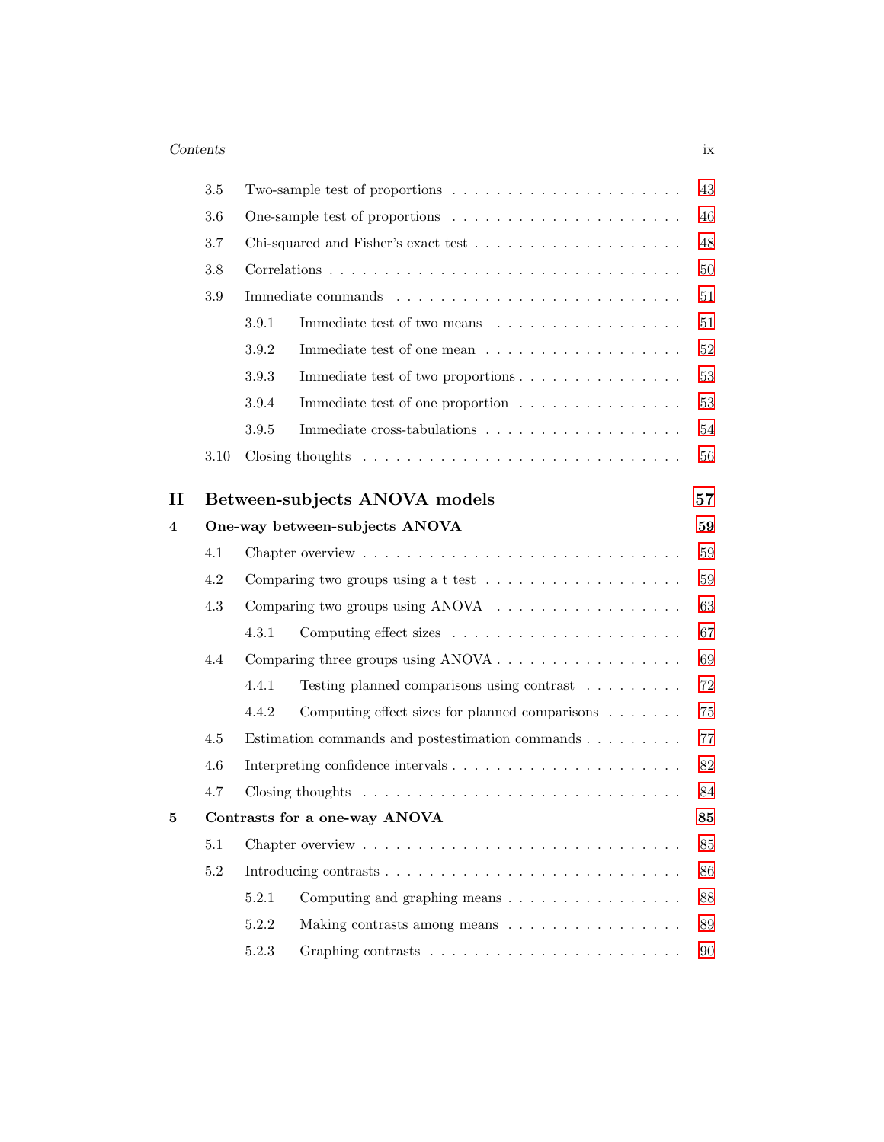### Contents ix

|    | $3.5\,$ |         | Two-sample test of proportions $\dots \dots \dots \dots \dots \dots \dots \dots$  | 43     |
|----|---------|---------|-----------------------------------------------------------------------------------|--------|
|    | 3.6     |         | One-sample test of proportions $\dots \dots \dots \dots \dots \dots \dots$        | 46     |
|    | 3.7     |         |                                                                                   | 48     |
|    | 3.8     |         |                                                                                   | 50     |
|    | $3.9\,$ |         |                                                                                   | 51     |
|    |         | 3.9.1   | Immediate test of two means                                                       | $51\,$ |
|    |         | 3.9.2   |                                                                                   | 52     |
|    |         | 3.9.3   | Immediate test of two proportions                                                 | 53     |
|    |         | 3.9.4   | Immediate test of one proportion                                                  | 53     |
|    |         | $3.9.5$ |                                                                                   | $54\,$ |
|    | 3.10    |         | Closing thoughts $\ldots \ldots \ldots \ldots \ldots \ldots \ldots \ldots \ldots$ | $56\,$ |
| 11 |         |         | Between-subjects ANOVA models                                                     | 57     |
| 4  |         |         | One-way between-subjects ANOVA                                                    | 59     |
|    | 4.1     |         |                                                                                   | 59     |
|    | 4.2     |         | Comparing two groups using a t test $\ldots \ldots \ldots \ldots \ldots \ldots$   | 59     |
|    | 4.3     |         | Comparing two groups using ANOVA                                                  | 63     |
|    |         | 4.3.1   |                                                                                   | 67     |
|    | 4.4     |         |                                                                                   | 69     |
|    |         | 4.4.1   | Testing planned comparisons using contrast                                        | $72\,$ |
|    |         | 4.4.2   | Computing effect sizes for planned comparisons $\ldots \ldots$                    | 75     |
|    | 4.5     |         | Estimation commands and postestimation commands                                   | 77     |
|    | 4.6     |         |                                                                                   | 82     |
|    | 4.7     |         |                                                                                   | 84     |
| 5  |         |         | Contrasts for a one-way ANOVA                                                     | 85     |
|    | 5.1     |         |                                                                                   | 85     |
|    | 5.2     |         |                                                                                   | 86     |
|    |         | 5.2.1   | Computing and graphing means $\dots \dots \dots \dots \dots \dots$                | 88     |
|    |         | 5.2.2   | Making contrasts among means                                                      | 89     |
|    |         | 5.2.3   |                                                                                   | 90     |
|    |         |         |                                                                                   |        |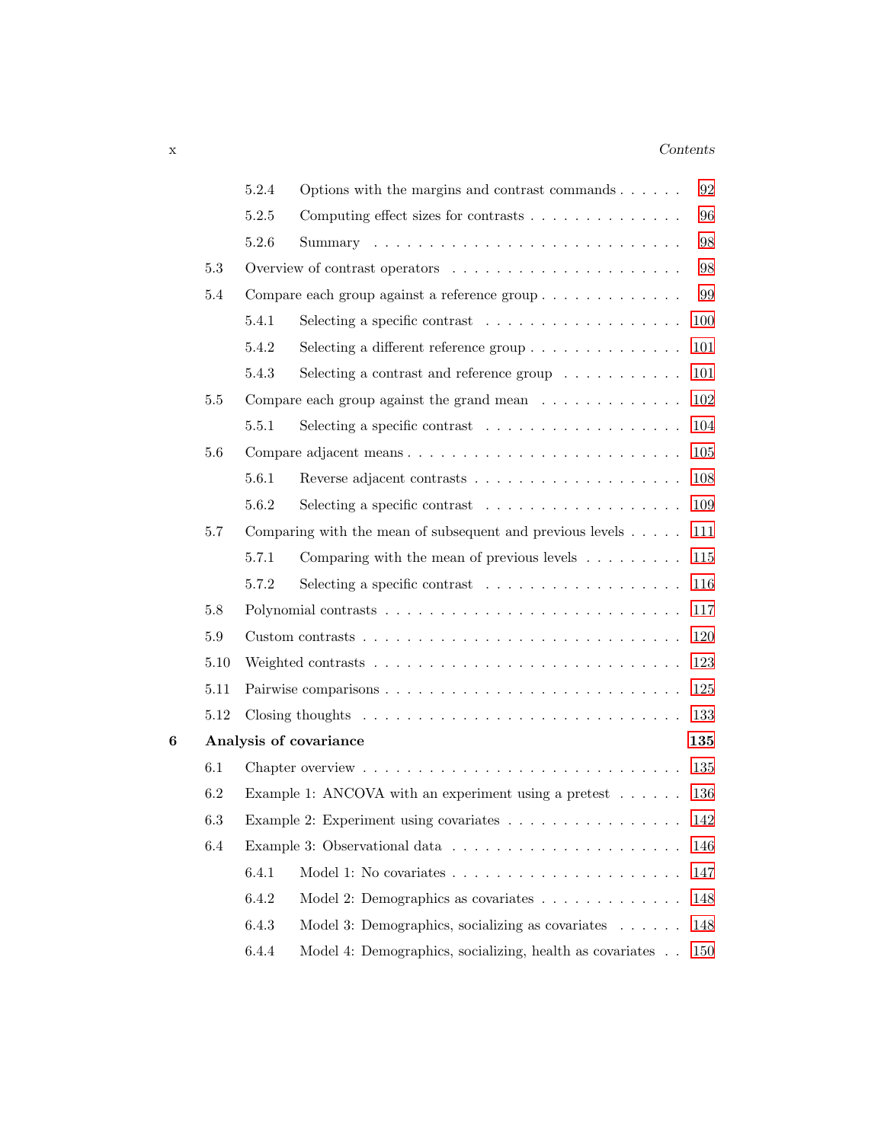### x Contents

|   |         | 5.2.4 | Options with the margins and contrast commands $\ldots \ldots$                       | 92  |
|---|---------|-------|--------------------------------------------------------------------------------------|-----|
|   |         | 5.2.5 | Computing effect sizes for contrasts                                                 | 96  |
|   |         | 5.2.6 |                                                                                      | 98  |
|   | $5.3\,$ |       |                                                                                      | 98  |
|   | $5.4\,$ |       | Compare each group against a reference group                                         | 99  |
|   |         | 5.4.1 |                                                                                      | 100 |
|   |         | 5.4.2 | Selecting a different reference group $\dots \dots \dots \dots \dots$                | 101 |
|   |         | 5.4.3 | Selecting a contrast and reference group $\dots \dots \dots$                         | 101 |
|   | 5.5     |       | Compare each group against the grand mean $\dots \dots \dots \dots$                  | 102 |
|   |         | 5.5.1 | Selecting a specific contrast $\ldots \ldots \ldots \ldots \ldots$                   | 104 |
|   | 5.6     |       | Compare adjacent means                                                               | 105 |
|   |         | 5.6.1 |                                                                                      | 108 |
|   |         | 5.6.2 | Selecting a specific contrast $\ldots \ldots \ldots \ldots \ldots \ldots$            | 109 |
|   | 5.7     |       | Comparing with the mean of subsequent and previous levels $\dots$ .                  | 111 |
|   |         | 5.7.1 | Comparing with the mean of previous levels $\ldots \ldots \ldots$                    | 115 |
|   |         | 5.7.2 |                                                                                      | 116 |
|   | 5.8     |       |                                                                                      | 117 |
|   | $5.9\,$ |       |                                                                                      | 120 |
|   | 5.10    |       |                                                                                      | 123 |
|   | 5.11    |       |                                                                                      | 125 |
|   | 5.12    |       | Closing thoughts $\dots \dots \dots \dots \dots \dots \dots \dots \dots \dots \dots$ | 133 |
| 6 |         |       | Analysis of covariance                                                               | 135 |
|   | 6.1     |       |                                                                                      | 135 |
|   | 6.2     |       | Example 1: ANCOVA with an experiment using a pretest $\ldots \ldots$                 | 136 |
|   | 6.3     |       | Example 2: Experiment using covariates                                               | 142 |
|   | 6.4     |       |                                                                                      | 146 |
|   |         | 6.4.1 |                                                                                      | 147 |
|   |         | 6.4.2 | Model 2: Demographics as covariates $\dots \dots \dots \dots$                        | 148 |
|   |         | 6.4.3 | Model 3: Demographics, socializing as covariates                                     | 148 |
|   |         | 6.4.4 | Model 4: Demographics, socializing, health as covariates                             | 150 |
|   |         |       |                                                                                      |     |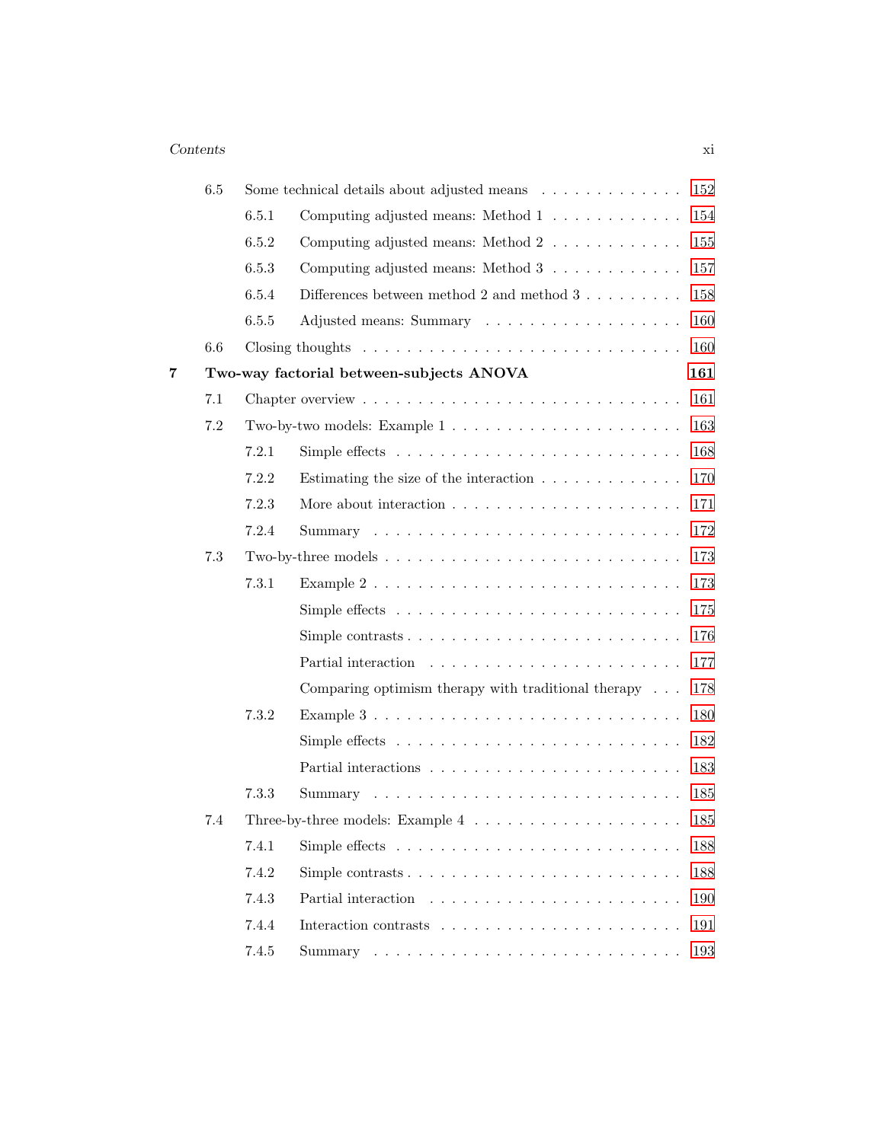|   | 6.5     |       | 152<br>Some technical details about adjusted means                                             |  |
|---|---------|-------|------------------------------------------------------------------------------------------------|--|
|   |         | 6.5.1 | Computing adjusted means: Method 1<br>154                                                      |  |
|   |         | 6.5.2 | $155\,$<br>Computing adjusted means: Method $2 \ldots \ldots \ldots$                           |  |
|   |         | 6.5.3 | 157<br>Computing adjusted means: Method 3                                                      |  |
|   |         | 6.5.4 | Differences between method 2 and method $3 \ldots \ldots$<br>158                               |  |
|   |         | 6.5.5 | 160                                                                                            |  |
|   | 6.6     |       | Closing thoughts $\dots \dots \dots \dots \dots \dots \dots \dots \dots \dots \dots$<br>160    |  |
| 7 |         |       | Two-way factorial between-subjects ANOVA<br>161                                                |  |
|   | 7.1     |       | 161                                                                                            |  |
|   | $7.2\,$ |       | 163                                                                                            |  |
|   |         | 7.2.1 | Simple effects $\ldots \ldots \ldots \ldots \ldots \ldots \ldots \ldots$<br>168                |  |
|   |         | 7.2.2 | 170<br>Estimating the size of the interaction $\ldots \ldots \ldots \ldots$                    |  |
|   |         | 7.2.3 | 171                                                                                            |  |
|   |         | 7.2.4 | 172                                                                                            |  |
|   | 7.3     |       | 173<br>Two-by-three models $\dots \dots \dots \dots \dots \dots \dots \dots \dots \dots \dots$ |  |
|   |         | 7.3.1 | 173<br>Example $2 \ldots \ldots \ldots \ldots \ldots \ldots \ldots \ldots \ldots \ldots$       |  |
|   |         |       | 175<br>Simple effects $\dots \dots \dots \dots \dots \dots \dots \dots \dots \dots \dots$      |  |
|   |         |       | 176                                                                                            |  |
|   |         |       | 177                                                                                            |  |
|   |         |       | Comparing optimism therapy with traditional therapy $\ldots$<br>178                            |  |
|   |         | 7.3.2 | 180                                                                                            |  |
|   |         |       | 182<br>Simple effects $\dots \dots \dots \dots \dots \dots \dots \dots \dots \dots \dots$      |  |
|   |         |       | 183                                                                                            |  |
|   |         | 7.3.3 | 185                                                                                            |  |
|   | 7.4     |       | Three-by-three models: Example $4 \ldots \ldots \ldots \ldots \ldots \ldots$<br>185            |  |
|   |         | 7.4.1 | Simple effects $\ldots \ldots \ldots \ldots \ldots \ldots \ldots \ldots$<br>188                |  |
|   |         | 7.4.2 | Simple contrasts $\ldots \ldots \ldots \ldots \ldots \ldots \ldots \ldots$<br>188              |  |
|   |         | 7.4.3 | 190                                                                                            |  |
|   |         | 7.4.4 | 191                                                                                            |  |
|   |         | 7.4.5 | 193                                                                                            |  |
|   |         |       |                                                                                                |  |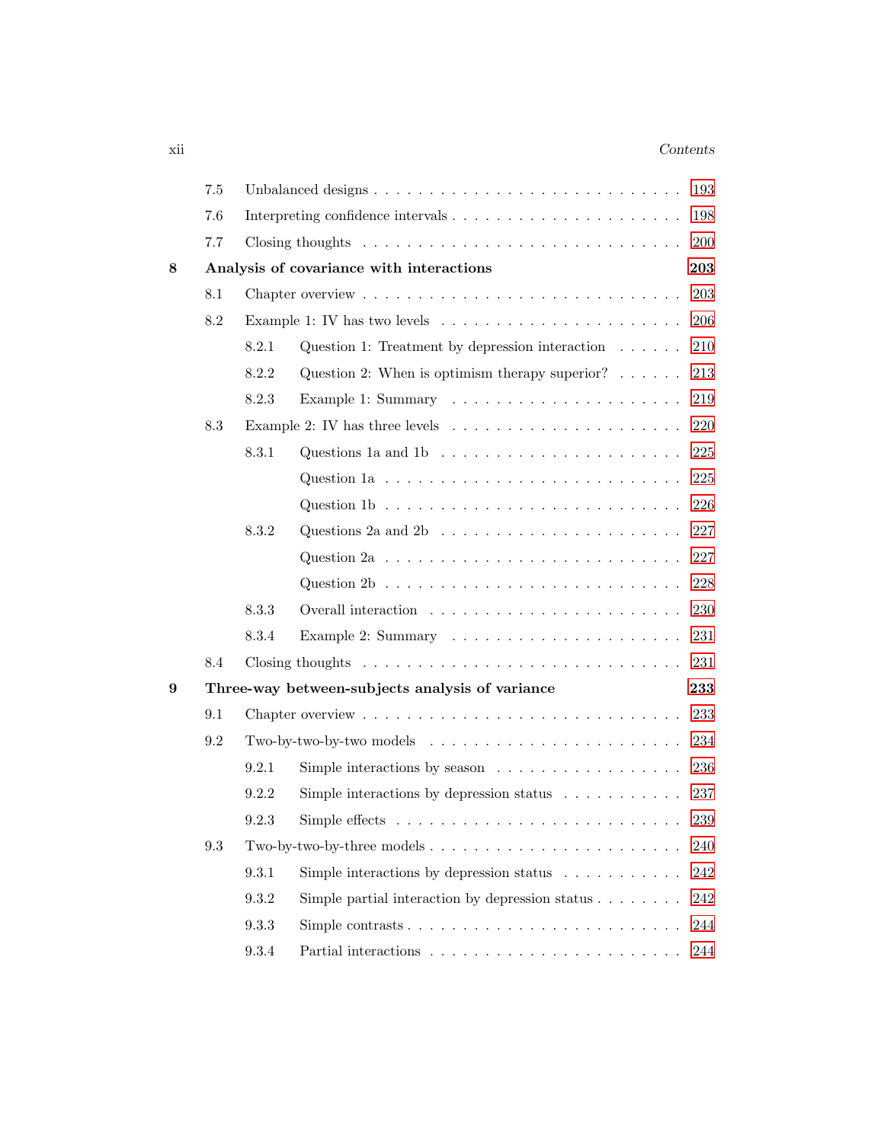### xii Contents

|   | $7.5\,$ |       |                                                                                          | 193     |
|---|---------|-------|------------------------------------------------------------------------------------------|---------|
|   | 7.6     |       |                                                                                          | 198     |
|   | 7.7     |       | Closing thoughts $\ldots \ldots \ldots \ldots \ldots \ldots \ldots \ldots \ldots$        | 200     |
| 8 |         |       | Analysis of covariance with interactions                                                 | 203     |
|   | 8.1     |       |                                                                                          | 203     |
|   | 8.2     |       | Example 1: IV has two levels $\dots \dots \dots \dots \dots \dots \dots \dots$           | 206     |
|   |         | 8.2.1 | Question 1: Treatment by depression interaction $\ldots \ldots$                          | 210     |
|   |         | 8.2.2 | Question 2: When is optimism therapy superior? $\ldots \ldots$                           | 213     |
|   |         | 8.2.3 |                                                                                          | 219     |
|   | 8.3     |       | Example 2: IV has three levels $\ldots \ldots \ldots \ldots \ldots \ldots \ldots$        | 220     |
|   |         | 8.3.1 | Questions 1a and 1b $\ldots \ldots \ldots \ldots \ldots \ldots \ldots$                   | 225     |
|   |         |       | Question 1a $\dots \dots \dots \dots \dots \dots \dots \dots \dots \dots \dots$          | 225     |
|   |         |       | Question 1b $\ldots \ldots \ldots \ldots \ldots \ldots \ldots \ldots \ldots$             | 226     |
|   |         | 8.3.2 | Questions 2a and 2b $\ldots \ldots \ldots \ldots \ldots \ldots \ldots$                   | 227     |
|   |         |       | Question $2a \tldots \tldots \tldots \tldots \tldots \tldots \tldots$                    | 227     |
|   |         |       | Question $2b \ldots \ldots \ldots \ldots \ldots \ldots \ldots \ldots \ldots$             | 228     |
|   |         | 8.3.3 |                                                                                          | 230     |
|   |         | 8.3.4 |                                                                                          | 231     |
|   | 8.4     |       | Closing thoughts $\dots \dots \dots \dots \dots \dots \dots \dots \dots \dots \dots$     | 231     |
| 9 |         |       | Three-way between-subjects analysis of variance                                          | 233     |
|   | 9.1     |       |                                                                                          | 233     |
|   | 9.2     |       |                                                                                          | 234     |
|   |         | 9.2.1 | Simple interactions by season $\dots \dots \dots \dots \dots \dots$                      | 236     |
|   |         | 9.2.2 | Simple interactions by depression status $\ldots \ldots \ldots$                          | 237     |
|   |         | 9.2.3 | Simple effects $\dots \dots \dots \dots \dots \dots \dots \dots \dots \dots$             | $239\,$ |
|   | 9.3     |       | Two-by-two-by-three models $\dots \dots \dots \dots \dots \dots \dots \dots \dots \dots$ | 240     |
|   |         | 9.3.1 | Simple interactions by depression status $\ldots \ldots \ldots$                          | 242     |
|   |         | 9.3.2 | Simple partial interaction by depression status $\ldots \ldots$                          | 242     |
|   |         | 9.3.3 | Simple contrasts $\dots \dots \dots \dots \dots \dots \dots \dots$                       | 244     |
|   |         | 9.3.4 |                                                                                          | 244     |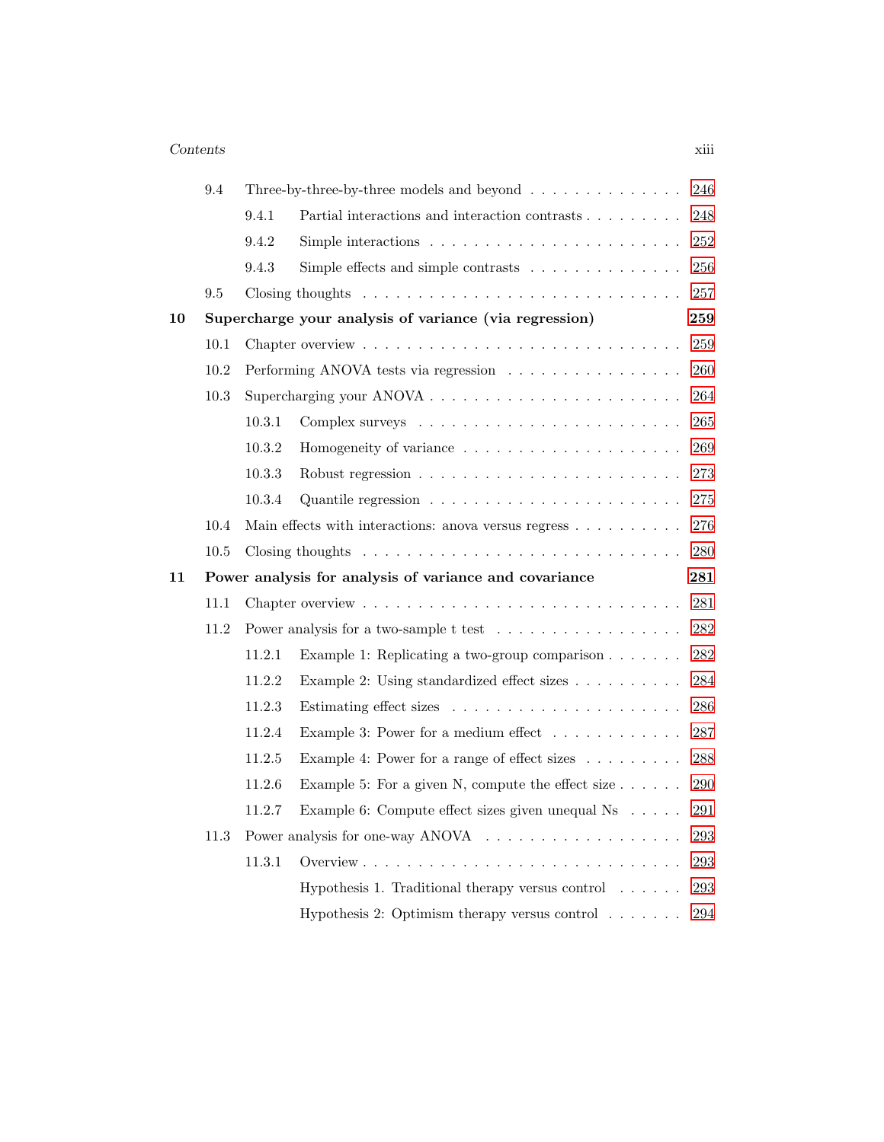### Contents xiii

|    | 9.4  |        | Three-by-three-by-three models and beyond $\ldots \ldots \ldots \ldots$              | 246 |
|----|------|--------|--------------------------------------------------------------------------------------|-----|
|    |      | 9.4.1  | Partial interactions and interaction contrasts                                       | 248 |
|    |      | 9.4.2  | Simple interactions $\ldots \ldots \ldots \ldots \ldots \ldots \ldots$               | 252 |
|    |      | 9.4.3  | Simple effects and simple contrasts $\ldots \ldots \ldots \ldots$                    | 256 |
|    | 9.5  |        | Closing thoughts $\dots \dots \dots \dots \dots \dots \dots \dots \dots \dots \dots$ | 257 |
| 10 |      |        | Supercharge your analysis of variance (via regression)                               | 259 |
|    | 10.1 |        |                                                                                      | 259 |
|    | 10.2 |        | Performing ANOVA tests via regression                                                | 260 |
|    | 10.3 |        |                                                                                      | 264 |
|    |      | 10.3.1 |                                                                                      | 265 |
|    |      | 10.3.2 |                                                                                      | 269 |
|    |      | 10.3.3 |                                                                                      | 273 |
|    |      | 10.3.4 |                                                                                      | 275 |
|    | 10.4 |        | Main effects with interactions: anova versus regress                                 | 276 |
|    | 10.5 |        |                                                                                      | 280 |
| 11 |      |        | Power analysis for analysis of variance and covariance                               | 281 |
|    | 11.1 |        |                                                                                      | 281 |
|    | 11.2 |        |                                                                                      | 282 |
|    |      | 11.2.1 | Example 1: Replicating a two-group comparison $\ldots \ldots$                        | 282 |
|    |      | 11.2.2 | Example 2: Using standardized effect sizes                                           | 284 |
|    |      | 11.2.3 |                                                                                      | 286 |
|    |      | 11.2.4 | Example 3: Power for a medium effect                                                 | 287 |
|    |      | 11.2.5 | Example 4: Power for a range of effect sizes                                         | 288 |
|    |      | 11.2.6 | Example 5: For a given N, compute the effect size $\ldots$                           | 290 |
|    |      | 11.2.7 | Example 6: Compute effect sizes given unequal Ns                                     | 291 |
|    | 11.3 |        |                                                                                      | 293 |
|    |      | 11.3.1 |                                                                                      | 293 |
|    |      |        | Hypothesis 1. Traditional therapy versus control $\dots \dots$                       | 293 |
|    |      |        |                                                                                      |     |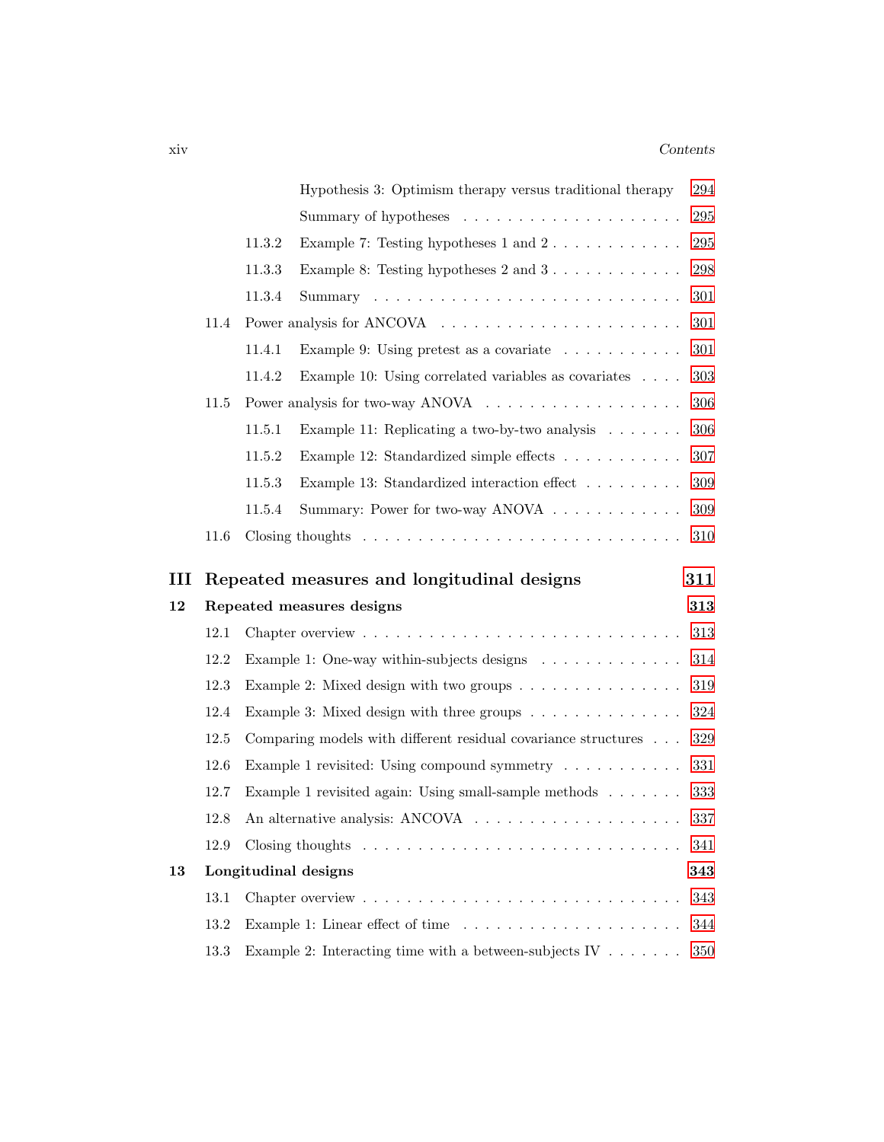|    |      | Hypothesis 3: Optimism therapy versus traditional therapy                            | 294     |
|----|------|--------------------------------------------------------------------------------------|---------|
|    |      |                                                                                      | 295     |
|    |      | 11.3.2<br>Example 7: Testing hypotheses $1$ and $2 \ldots \ldots \ldots$             | 295     |
|    |      | 11.3.3<br>Example 8: Testing hypotheses $2$ and $3 \ldots \ldots \ldots$             | 298     |
|    |      | 11.3.4                                                                               | 301     |
|    | 11.4 |                                                                                      | 301     |
|    |      | 11.4.1<br>Example 9: Using pretest as a covariate $\ldots \ldots \ldots$             | 301     |
|    |      | Example 10: Using correlated variables as covariates<br>11.4.2                       | 303     |
|    | 11.5 |                                                                                      | 306     |
|    |      | 11.5.1<br>Example 11: Replicating a two-by-two analysis $\ldots \ldots$              | $306\,$ |
|    |      | 11.5.2<br>Example 12: Standardized simple effects                                    | 307     |
|    |      | 11.5.3<br>Example 13: Standardized interaction effect                                | 309     |
|    |      | 11.5.4<br>Summary: Power for two-way ANOVA                                           | 309     |
|    | 11.6 | Closing thoughts $\dots \dots \dots \dots \dots \dots \dots \dots \dots \dots \dots$ | 310     |
|    |      |                                                                                      |         |
|    |      |                                                                                      |         |
| Ш  |      | Repeated measures and longitudinal designs                                           | 311     |
| 12 |      | Repeated measures designs                                                            | 313     |
|    | 12.1 | Chapter overview $\dots \dots \dots \dots \dots \dots \dots \dots \dots \dots \dots$ | 313     |
|    | 12.2 | Example 1: One-way within-subjects designs $\ldots \ldots \ldots \ldots$             | 314     |
|    | 12.3 | Example 2: Mixed design with two groups $\dots \dots \dots \dots \dots$              | 319     |
|    | 12.4 | Example 3: Mixed design with three groups $\dots \dots \dots \dots$                  | 324     |
|    | 12.5 | Comparing models with different residual covariance structures                       | $329\,$ |
|    | 12.6 | Example 1 revisited: Using compound symmetry $\dots \dots \dots$                     | 331     |
|    | 12.7 | Example 1 revisited again: Using small-sample methods $\ldots \ldots$                | 333     |
|    | 12.8 |                                                                                      | 337     |
|    | 12.9 | Closing thoughts $\ldots \ldots \ldots \ldots \ldots \ldots \ldots \ldots \ldots$    | 341     |
| 13 |      | Longitudinal designs                                                                 | 343     |
|    | 13.1 |                                                                                      | 343     |
|    | 13.2 |                                                                                      | 344     |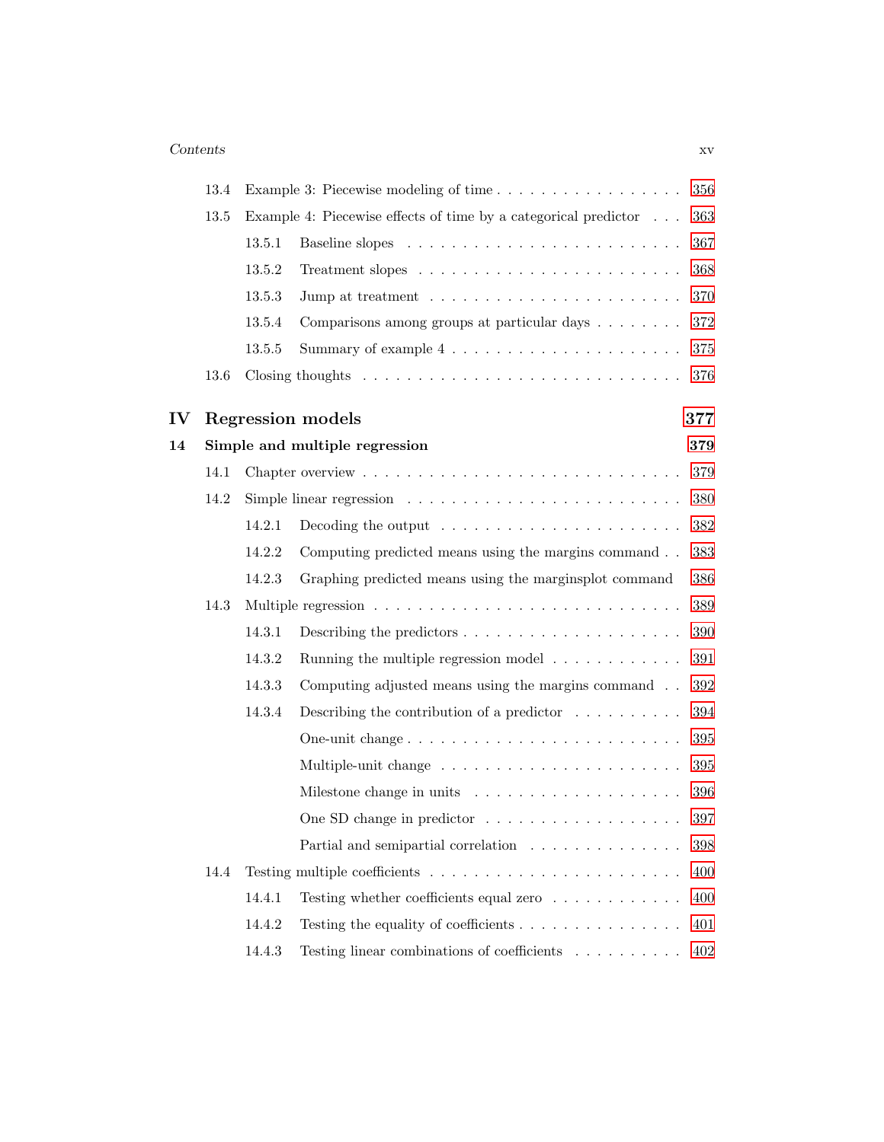|    | 13.4 |        | Example 3: Piecewise modeling of time                                                | 356     |
|----|------|--------|--------------------------------------------------------------------------------------|---------|
|    | 13.5 |        | Example 4: Piecewise effects of time by a categorical predictor                      | 363     |
|    |      | 13.5.1 |                                                                                      | 367     |
|    |      | 13.5.2 |                                                                                      | 368     |
|    |      | 13.5.3 | Jump at treatment $\dots \dots \dots \dots \dots \dots \dots \dots \dots$            | 370     |
|    |      | 13.5.4 | Comparisons among groups at particular days                                          | 372     |
|    |      | 13.5.5 |                                                                                      | 375     |
|    | 13.6 |        | Closing thoughts $\dots \dots \dots \dots \dots \dots \dots \dots \dots \dots \dots$ | 376     |
| IV |      |        | Regression models                                                                    | 377     |
| 14 |      |        | Simple and multiple regression                                                       | 379     |
|    | 14.1 |        |                                                                                      | 379     |
|    | 14.2 |        | Simple linear regression $\ldots \ldots \ldots \ldots \ldots \ldots \ldots \ldots$   | 380     |
|    |      | 14.2.1 | Decoding the output $\dots \dots \dots \dots \dots \dots \dots \dots$                | 382     |
|    |      | 14.2.2 | Computing predicted means using the margins command                                  | 383     |
|    |      | 14.2.3 | Graphing predicted means using the marginsplot command                               | 386     |
|    | 14.3 |        |                                                                                      | 389     |
|    |      | 14.3.1 |                                                                                      | 390     |
|    |      | 14.3.2 | Running the multiple regression model $\ldots \ldots \ldots \ldots$                  | 391     |
|    |      | 14.3.3 | Computing adjusted means using the margins command                                   | 392     |
|    |      | 14.3.4 | Describing the contribution of a predictor $\dots \dots \dots$                       | 394     |
|    |      |        | One-unit change                                                                      | 395     |
|    |      |        |                                                                                      | 395     |
|    |      |        |                                                                                      | 396     |
|    |      |        | One SD change in predictor                                                           | 397     |
|    |      |        | Partial and semipartial correlation                                                  | 398     |
|    | 14.4 |        | Testing multiple coefficients $\dots \dots \dots \dots \dots \dots \dots \dots$      | 400     |
|    |      | 14.4.1 | Testing whether coefficients equal zero                                              | 400     |
|    |      | 14.4.2 | Testing the equality of coefficients $\ldots \ldots \ldots \ldots \ldots$            | 401     |
|    |      | 14.4.3 | Testing linear combinations of coefficients $\hfill\ldots\ldots\ldots\ldots$         | $402\,$ |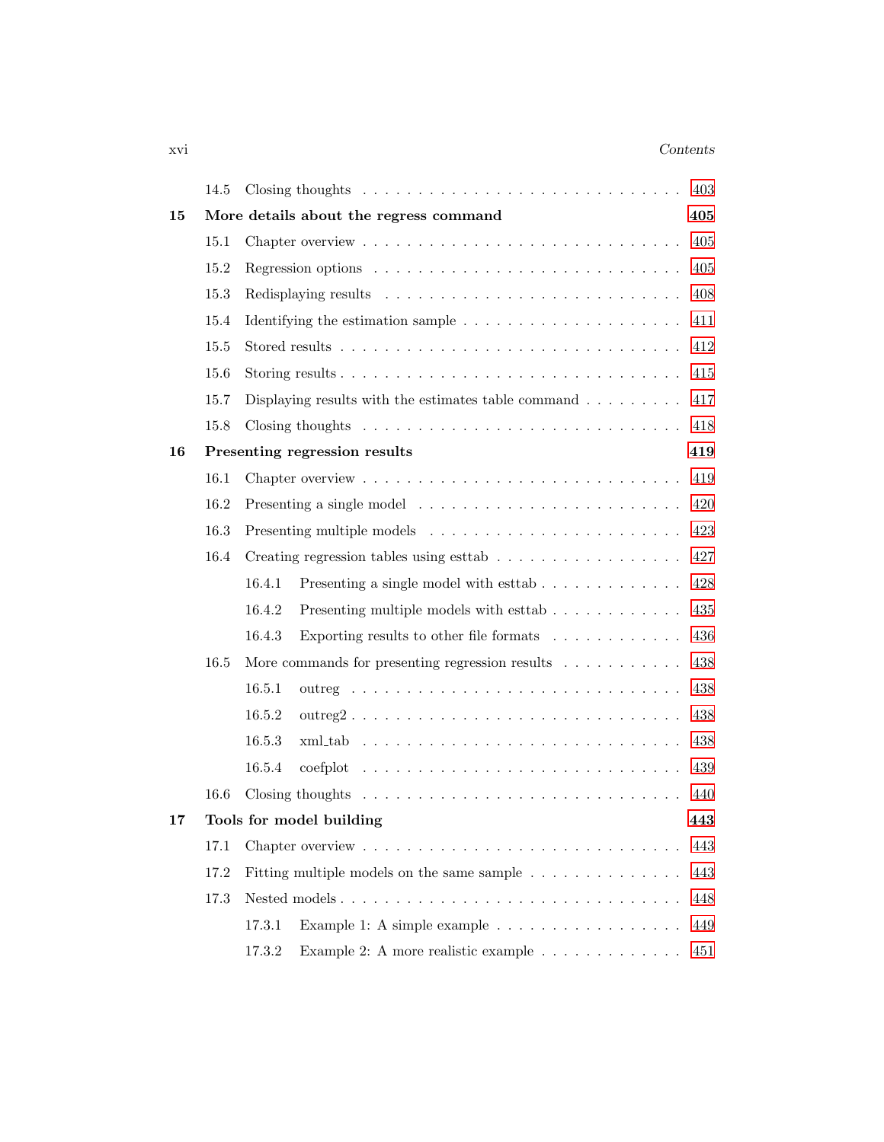### xvi Contents

|    | 14.5 | 403                                                                                         |
|----|------|---------------------------------------------------------------------------------------------|
| 15 |      | More details about the regress command<br>405                                               |
|    | 15.1 | 405                                                                                         |
|    | 15.2 | Regression options $\ldots \ldots \ldots \ldots \ldots \ldots \ldots \ldots \ldots$<br>405  |
|    | 15.3 | 408                                                                                         |
|    | 15.4 | 411                                                                                         |
|    | 15.5 | 412                                                                                         |
|    | 15.6 | 415                                                                                         |
|    | 15.7 | Displaying results with the estimates table command $\ldots \ldots \ldots$<br>417           |
|    | 15.8 | Closing thoughts $\dots \dots \dots \dots \dots \dots \dots \dots \dots \dots \dots$<br>418 |
| 16 |      | Presenting regression results<br>419                                                        |
|    | 16.1 | 419                                                                                         |
|    | 16.2 | 420                                                                                         |
|    | 16.3 | Presenting multiple models $\ldots \ldots \ldots \ldots \ldots \ldots \ldots \ldots$<br>423 |
|    | 16.4 | 427                                                                                         |
|    |      | Presenting a single model with esttab $\ldots \ldots \ldots \ldots$<br>16.4.1<br>428        |
|    |      | 16.4.2<br>Presenting multiple models with esttab<br>435                                     |
|    |      | Exporting results to other file formats $\ldots \ldots \ldots \ldots$<br>16.4.3<br>436      |
|    | 16.5 | More commands for presenting regression results $\ldots \ldots \ldots$<br>438               |
|    |      | 16.5.1<br>438                                                                               |
|    |      | 16.5.2<br>438                                                                               |
|    |      | 16.5.3<br>438                                                                               |
|    |      | 16.5.4<br>439                                                                               |
|    | 16.6 | Closing thoughts $\dots \dots \dots \dots \dots \dots \dots \dots \dots \dots \dots$<br>440 |
| 17 |      | Tools for model building<br>443                                                             |
|    | 17.1 | 443                                                                                         |
|    | 17.2 | Fitting multiple models on the same sample $\ldots \ldots \ldots \ldots$<br>443             |
|    | 17.3 | 448                                                                                         |
|    |      | 17.3.1<br>Example 1: A simple example $\ldots \ldots \ldots \ldots \ldots \ldots$<br>449    |
|    |      | 17.3.2<br>Example 2: A more realistic example<br>451                                        |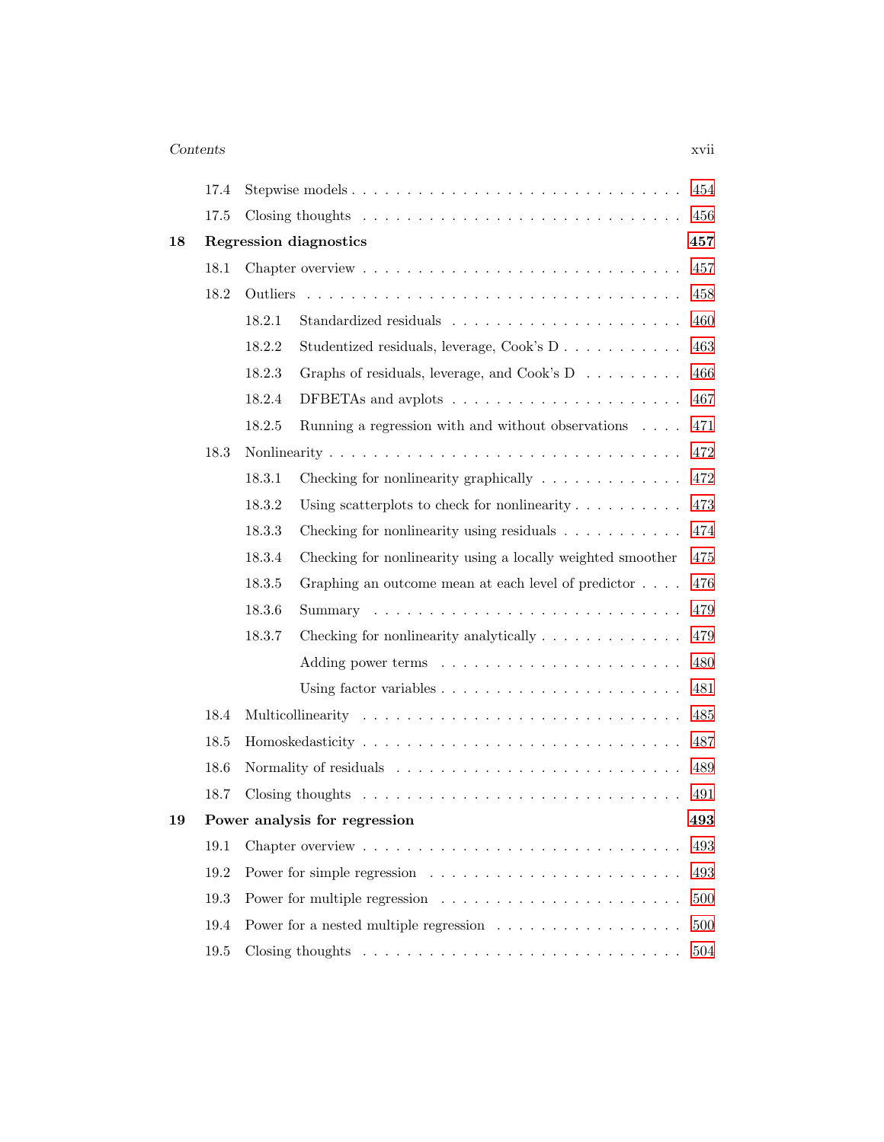### Contents xvii

|    | 17.4 | Stepwise models                                                                      | 454 |
|----|------|--------------------------------------------------------------------------------------|-----|
|    |      |                                                                                      |     |
|    | 17.5 | Closing thoughts $\ldots \ldots \ldots \ldots \ldots \ldots \ldots \ldots \ldots$    | 456 |
| 18 |      | Regression diagnostics                                                               | 457 |
|    | 18.1 |                                                                                      | 457 |
|    | 18.2 |                                                                                      | 458 |
|    |      | 18.2.1                                                                               | 460 |
|    |      | 18.2.2<br>Studentized residuals, leverage, Cook's D                                  | 463 |
|    |      | 18.2.3<br>Graphs of residuals, leverage, and Cook's D                                | 466 |
|    |      | DFBETAs and avplots $\dots \dots \dots \dots \dots \dots \dots$<br>18.2.4            | 467 |
|    |      | 18.2.5<br>Running a regression with and without observations $\ldots$ .              | 471 |
|    | 18.3 |                                                                                      | 472 |
|    |      | 18.3.1<br>Checking for nonlinearity graphically $\ldots \ldots \ldots \ldots$        | 472 |
|    |      | 18.3.2<br>Using scatterplots to check for nonlinearity $\ldots \ldots \ldots$        | 473 |
|    |      | Checking for nonlinearity using residuals $\ldots \ldots \ldots$<br>18.3.3           | 474 |
|    |      | 18.3.4<br>Checking for nonlinearity using a locally weighted smoother                | 475 |
|    |      | Graphing an outcome mean at each level of predictor $\ldots$ .<br>18.3.5             | 476 |
|    |      | 18.3.6                                                                               | 479 |
|    |      | 18.3.7<br>Checking for nonlinearity analytically $\ldots \ldots \ldots \ldots$       | 479 |
|    |      |                                                                                      | 480 |
|    |      | Using factor variables $\ldots \ldots \ldots \ldots \ldots \ldots \ldots$            | 481 |
|    | 18.4 |                                                                                      | 485 |
|    | 18.5 |                                                                                      | 487 |
|    | 18.6 |                                                                                      | 489 |
|    | 18.7 | Closing thoughts $\dots \dots \dots \dots \dots \dots \dots \dots \dots \dots \dots$ | 491 |
| 19 |      | Power analysis for regression                                                        | 493 |
|    | 19.1 |                                                                                      | 493 |
|    | 19.2 |                                                                                      | 493 |
|    | 19.3 |                                                                                      | 500 |
|    | 19.4 | Power for a nested multiple regression                                               | 500 |
|    | 19.5 |                                                                                      | 504 |
|    |      |                                                                                      |     |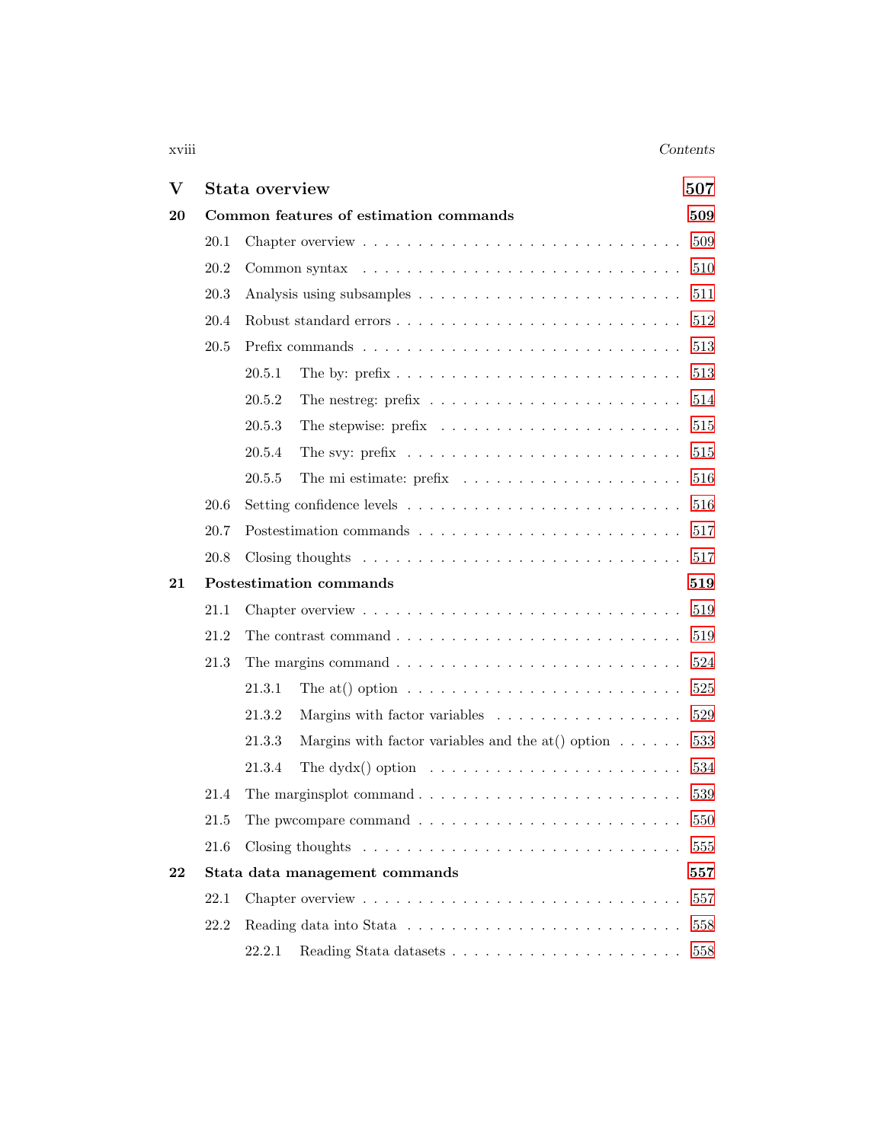### xviii Contents

| $\bf V$ |      | Stata overview<br>507                                                                   |     |  |
|---------|------|-----------------------------------------------------------------------------------------|-----|--|
| 20      |      | Common features of estimation commands                                                  | 509 |  |
|         | 20.1 |                                                                                         | 509 |  |
|         | 20.2 |                                                                                         | 510 |  |
|         | 20.3 |                                                                                         | 511 |  |
|         | 20.4 |                                                                                         | 512 |  |
|         | 20.5 |                                                                                         | 513 |  |
|         |      | 20.5.1                                                                                  | 513 |  |
|         |      | The nestreg: $prefix \ldots \ldots \ldots \ldots \ldots \ldots \ldots$<br>20.5.2        | 514 |  |
|         |      | 20.5.3                                                                                  | 515 |  |
|         |      | The svy: prefix $\dots \dots \dots \dots \dots \dots \dots \dots \dots \dots$<br>20.5.4 | 515 |  |
|         |      | 20.5.5                                                                                  | 516 |  |
|         | 20.6 |                                                                                         | 516 |  |
|         | 20.7 |                                                                                         | 517 |  |
|         | 20.8 | Closing thoughts $\ldots \ldots \ldots \ldots \ldots \ldots \ldots \ldots \ldots$       | 517 |  |
| 21      |      | Postestimation commands                                                                 | 519 |  |
|         | 21.1 |                                                                                         | 519 |  |
|         | 21.2 | The contrast command $\ldots \ldots \ldots \ldots \ldots \ldots \ldots \ldots \ldots$   | 519 |  |
|         | 21.3 | The margins command $\ldots \ldots \ldots \ldots \ldots \ldots \ldots \ldots \ldots$    | 524 |  |
|         |      | The at() option $\dots \dots \dots \dots \dots \dots \dots \dots \dots \dots$<br>21.3.1 | 525 |  |
|         |      | 21.3.2<br>Margins with factor variables                                                 | 529 |  |
|         |      | Margins with factor variables and the at () option $\ldots \ldots$<br>21.3.3            | 533 |  |
|         |      | The dydx() option $\ldots \ldots \ldots \ldots \ldots \ldots \ldots$<br>21.3.4          | 534 |  |
|         | 21.4 |                                                                                         | 539 |  |
|         | 21.5 | The pwcompare command $\ldots \ldots \ldots \ldots \ldots \ldots \ldots \ldots 550$     |     |  |
|         | 21.6 |                                                                                         | 555 |  |
| 22      |      | Stata data management commands                                                          | 557 |  |
|         | 22.1 | Chapter overview $\dots \dots \dots \dots \dots \dots \dots \dots \dots \dots \dots$    | 557 |  |
|         | 22.2 |                                                                                         | 558 |  |
|         |      | 22.2.1                                                                                  | 558 |  |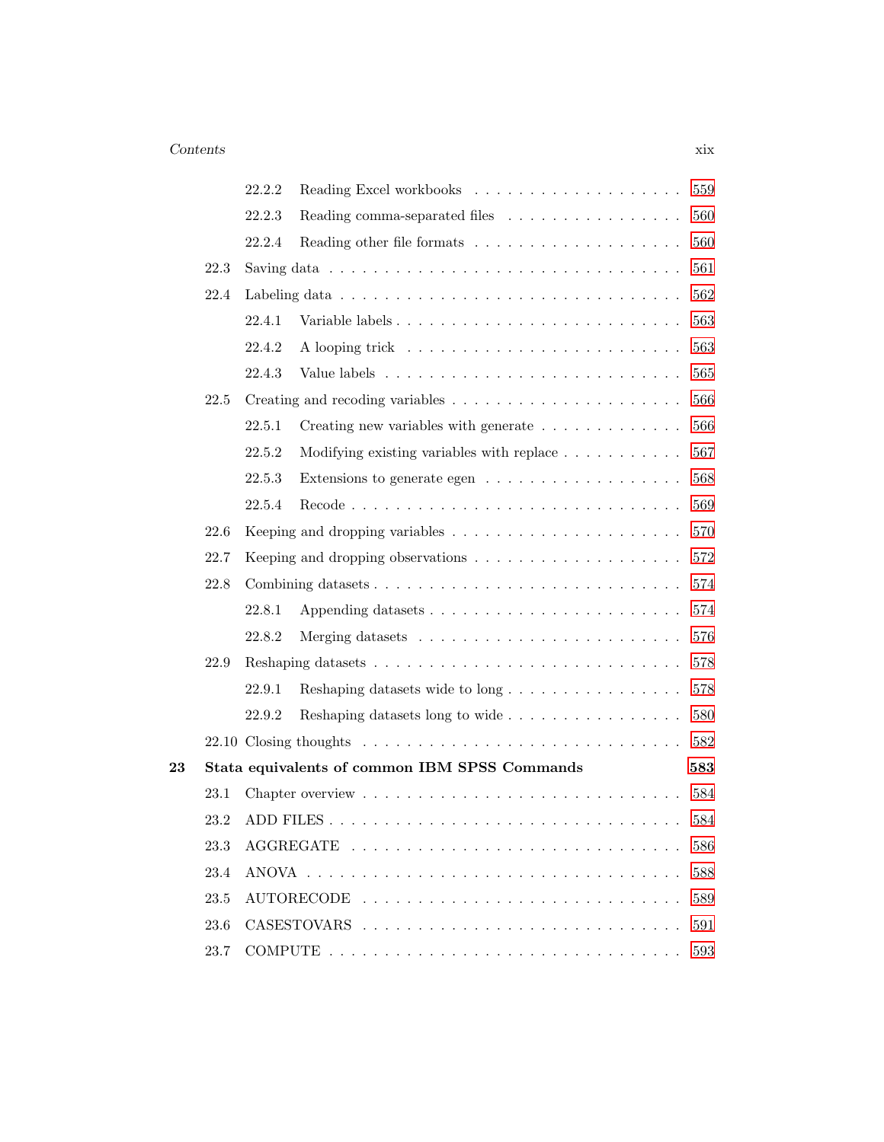|                   |      | 22.2.2 |                                                                                            | 559 |
|-------------------|------|--------|--------------------------------------------------------------------------------------------|-----|
|                   |      | 22.2.3 | Reading comma-separated files                                                              | 560 |
|                   |      | 22.2.4 |                                                                                            | 560 |
|                   | 22.3 |        | Saving data $\ldots \ldots \ldots \ldots \ldots \ldots \ldots \ldots \ldots \ldots \ldots$ | 561 |
|                   | 22.4 |        |                                                                                            | 562 |
|                   |      | 22.4.1 |                                                                                            | 563 |
|                   |      | 22.4.2 |                                                                                            | 563 |
|                   |      | 22.4.3 |                                                                                            | 565 |
|                   | 22.5 |        |                                                                                            | 566 |
|                   |      | 22.5.1 | Creating new variables with generate                                                       | 566 |
|                   |      | 22.5.2 | Modifying existing variables with replace $\ldots \ldots \ldots$                           | 567 |
|                   |      | 22.5.3 | Extensions to generate egen $\dots \dots \dots \dots \dots \dots$                          | 568 |
|                   |      | 22.5.4 |                                                                                            | 569 |
|                   | 22.6 |        | Keeping and dropping variables $\ldots \ldots \ldots \ldots \ldots \ldots \ldots$          | 570 |
|                   | 22.7 |        | Keeping and dropping observations $\dots \dots \dots \dots \dots \dots \dots$              | 572 |
|                   | 22.8 |        | Combining datasets                                                                         | 574 |
|                   |      | 22.8.1 |                                                                                            | 574 |
|                   |      | 22.8.2 |                                                                                            | 576 |
|                   | 22.9 |        |                                                                                            | 578 |
|                   |      | 22.9.1 | Reshaping datasets wide to long                                                            | 578 |
|                   |      | 22.9.2 | Reshaping datasets long to wide                                                            | 580 |
|                   |      |        |                                                                                            | 582 |
| $\boldsymbol{23}$ |      |        | Stata equivalents of common IBM SPSS Commands                                              | 583 |
|                   | 23.1 |        |                                                                                            | 584 |
|                   | 23.2 |        |                                                                                            | 584 |
|                   | 23.3 |        |                                                                                            | 586 |
|                   | 23.4 |        |                                                                                            | 588 |
|                   | 23.5 |        | <b>AUTORECODE</b>                                                                          | 589 |
|                   | 23.6 |        |                                                                                            | 591 |
|                   | 23.7 |        |                                                                                            | 593 |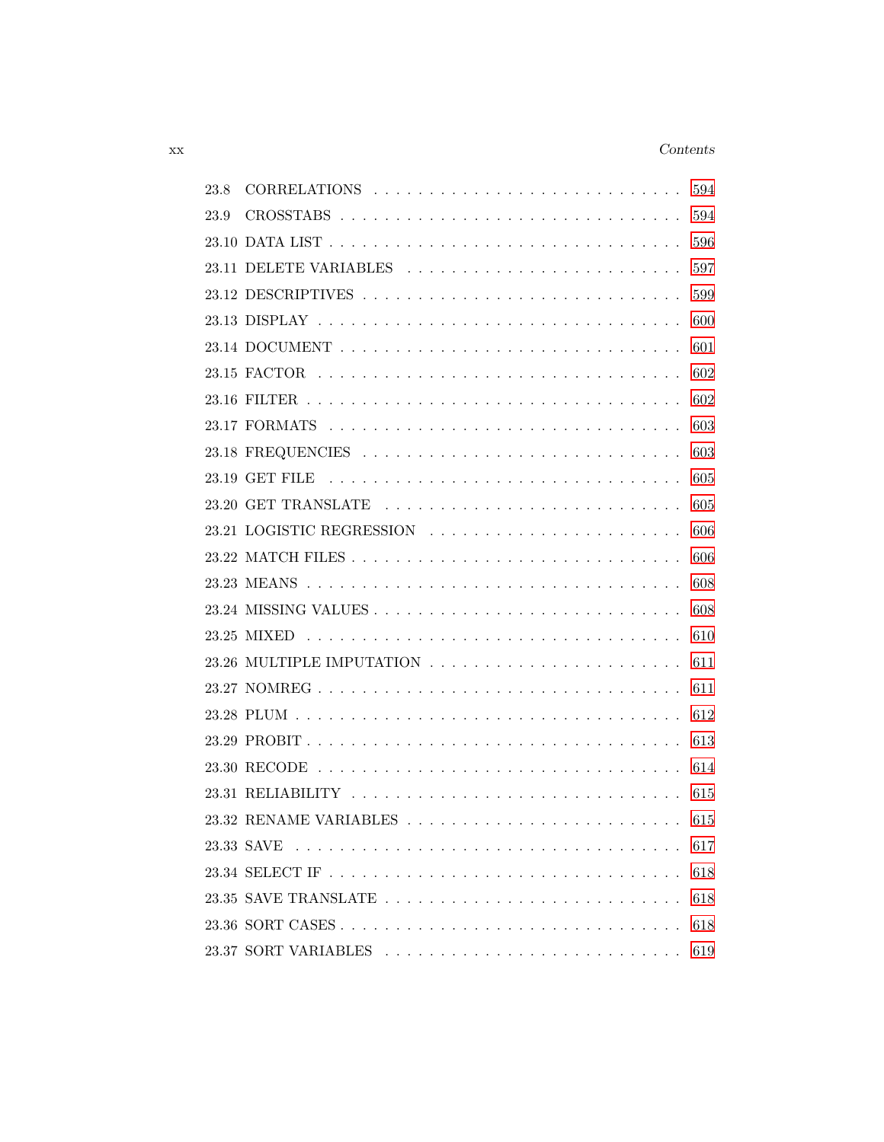### xx Contents

| 23.8 |                           | 594 |
|------|---------------------------|-----|
| 23.9 |                           | 594 |
|      |                           | 596 |
|      | 23.11 DELETE VARIABLES    | 597 |
|      |                           | 599 |
|      |                           | 600 |
|      |                           | 601 |
|      |                           | 602 |
|      |                           | 602 |
|      |                           | 603 |
|      |                           | 603 |
|      |                           | 605 |
|      |                           | 605 |
|      | 23.21 LOGISTIC REGRESSION | 606 |
|      |                           | 606 |
|      |                           | 608 |
|      |                           | 608 |
|      |                           | 610 |
|      |                           | 611 |
|      |                           | 611 |
|      |                           | 612 |
|      |                           | 613 |
|      |                           | 614 |
|      |                           | 615 |
|      |                           | 615 |
|      |                           | 617 |
|      |                           | 618 |
|      |                           | 618 |
|      |                           | 618 |
|      |                           | 619 |
|      |                           |     |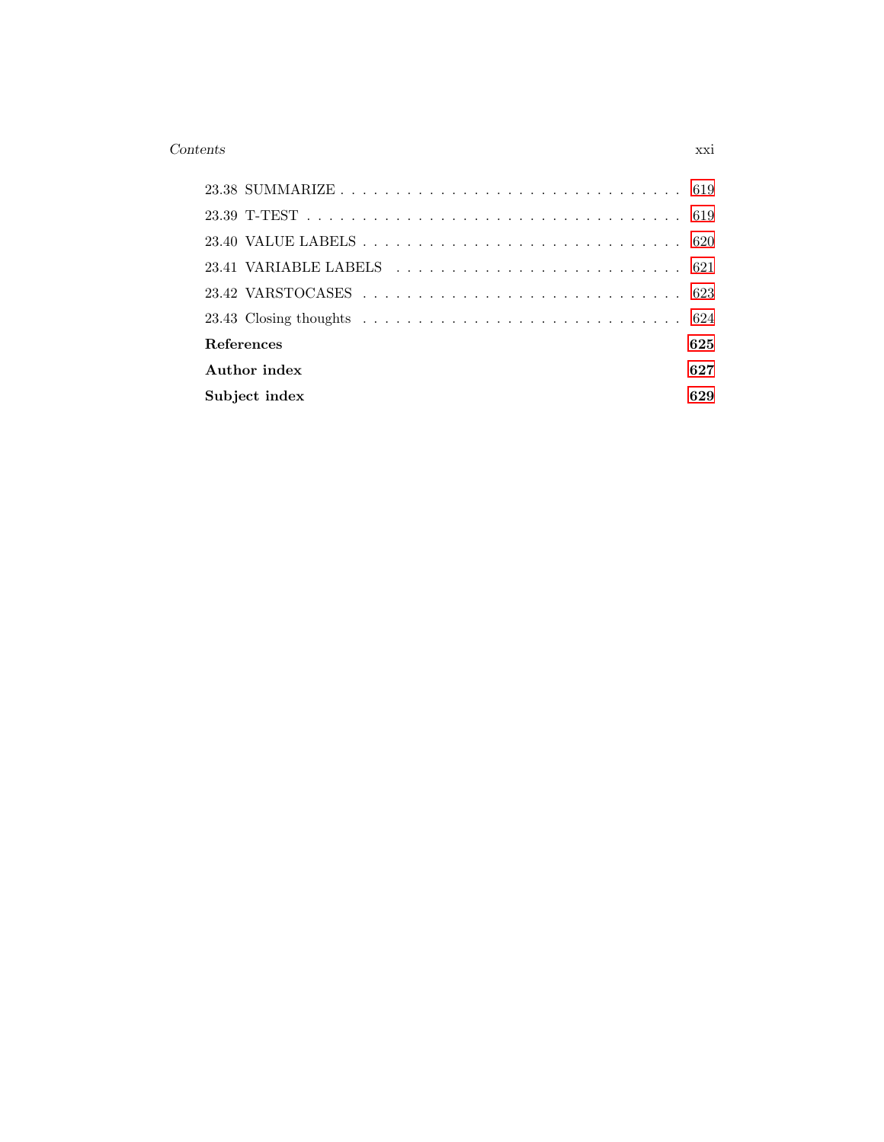### Contents xxi

| <b>References</b> |               | 625 |
|-------------------|---------------|-----|
|                   | Author index  | 627 |
|                   | Subject index | 629 |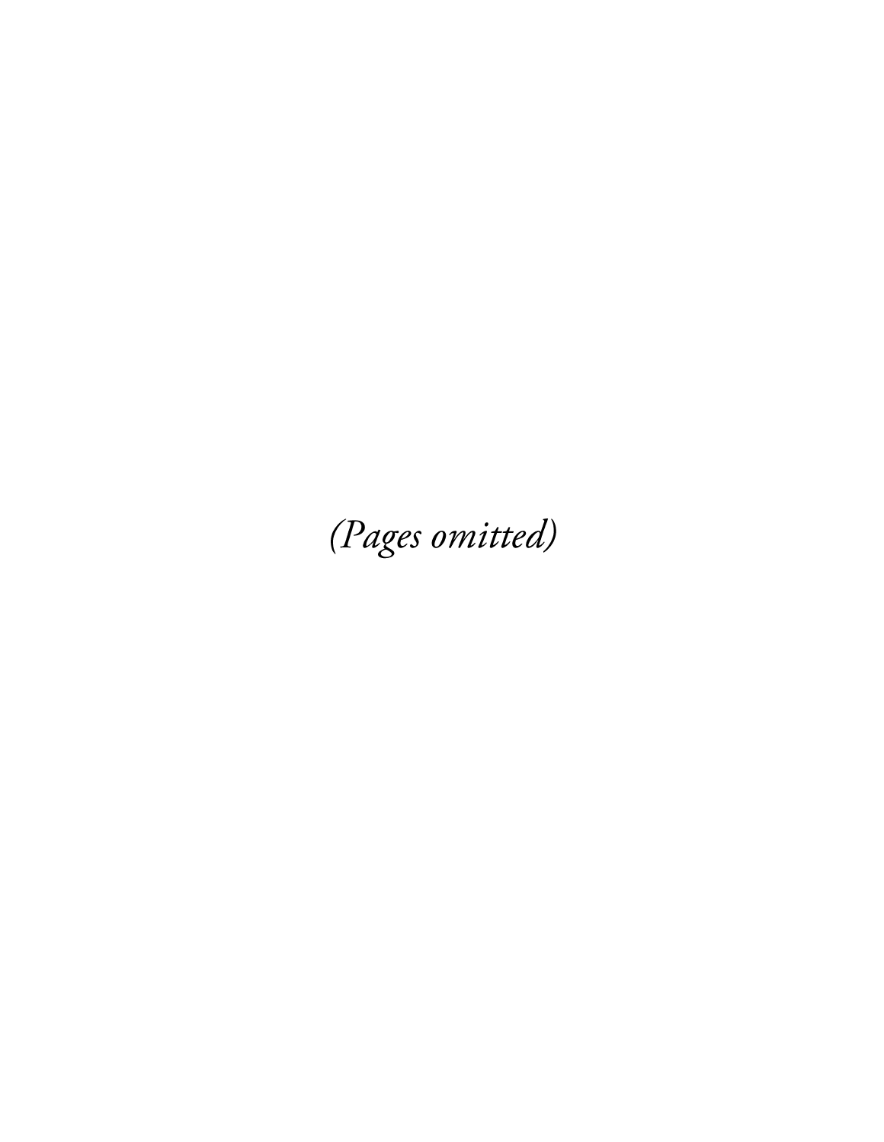(Pages omitted)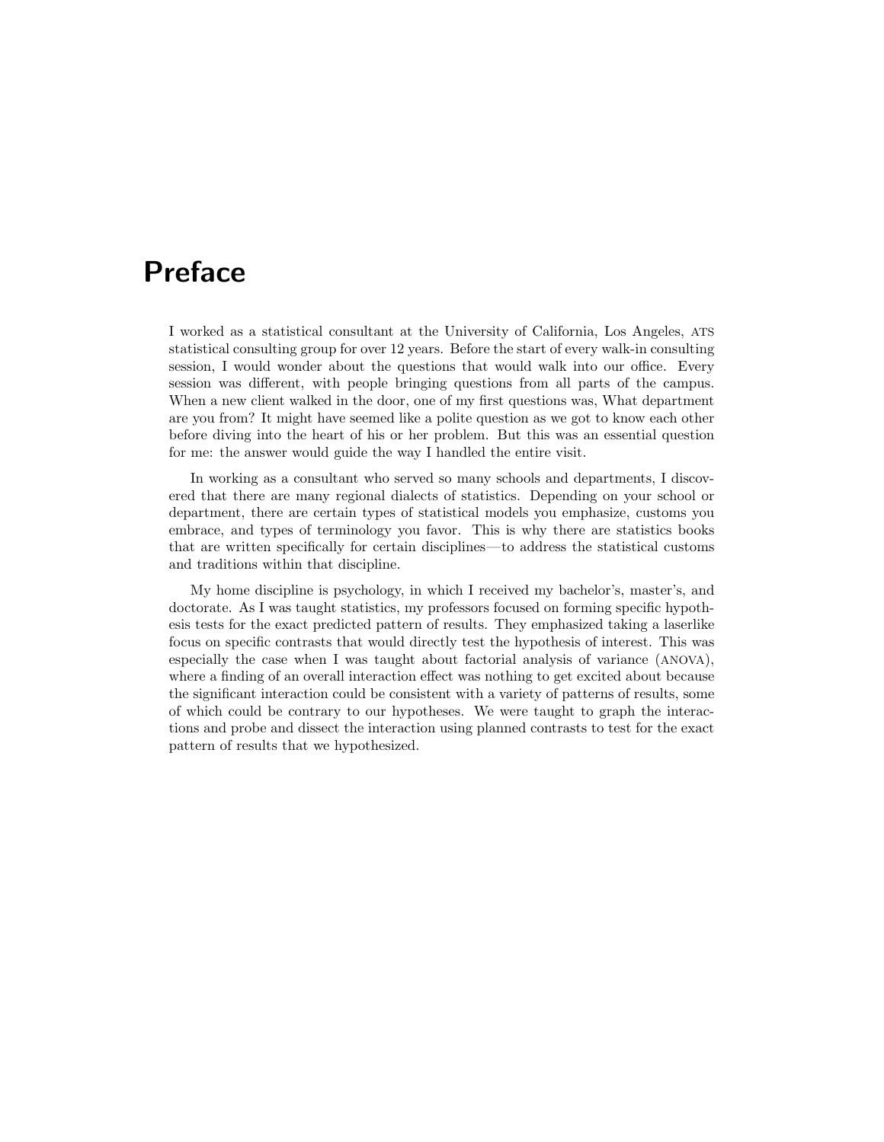## Preface

I worked as a statistical consultant at the University of California, Los Angeles, ATS statistical consulting group for over 12 years. Before the start of every walk-in consulting session, I would wonder about the questions that would walk into our office. Every session was different, with people bringing questions from all parts of the campus. When a new client walked in the door, one of my first questions was, What department are you from? It might have seemed like a polite question as we got to know each other before diving into the heart of his or her problem. But this was an essential question for me: the answer would guide the way I handled the entire visit.

In working as a consultant who served so many schools and departments, I discovered that there are many regional dialects of statistics. Depending on your school or department, there are certain types of statistical models you emphasize, customs you embrace, and types of terminology you favor. This is why there are statistics books that are written specifically for certain disciplines—to address the statistical customs and traditions within that discipline.

My home discipline is psychology, in which I received my bachelor's, master's, and doctorate. As I was taught statistics, my professors focused on forming specific hypothesis tests for the exact predicted pattern of results. They emphasized taking a laserlike focus on specific contrasts that would directly test the hypothesis of interest. This was especially the case when I was taught about factorial analysis of variance (ANOVA), where a finding of an overall interaction effect was nothing to get excited about because the significant interaction could be consistent with a variety of patterns of results, some of which could be contrary to our hypotheses. We were taught to graph the interactions and probe and dissect the interaction using planned contrasts to test for the exact pattern of results that we hypothesized.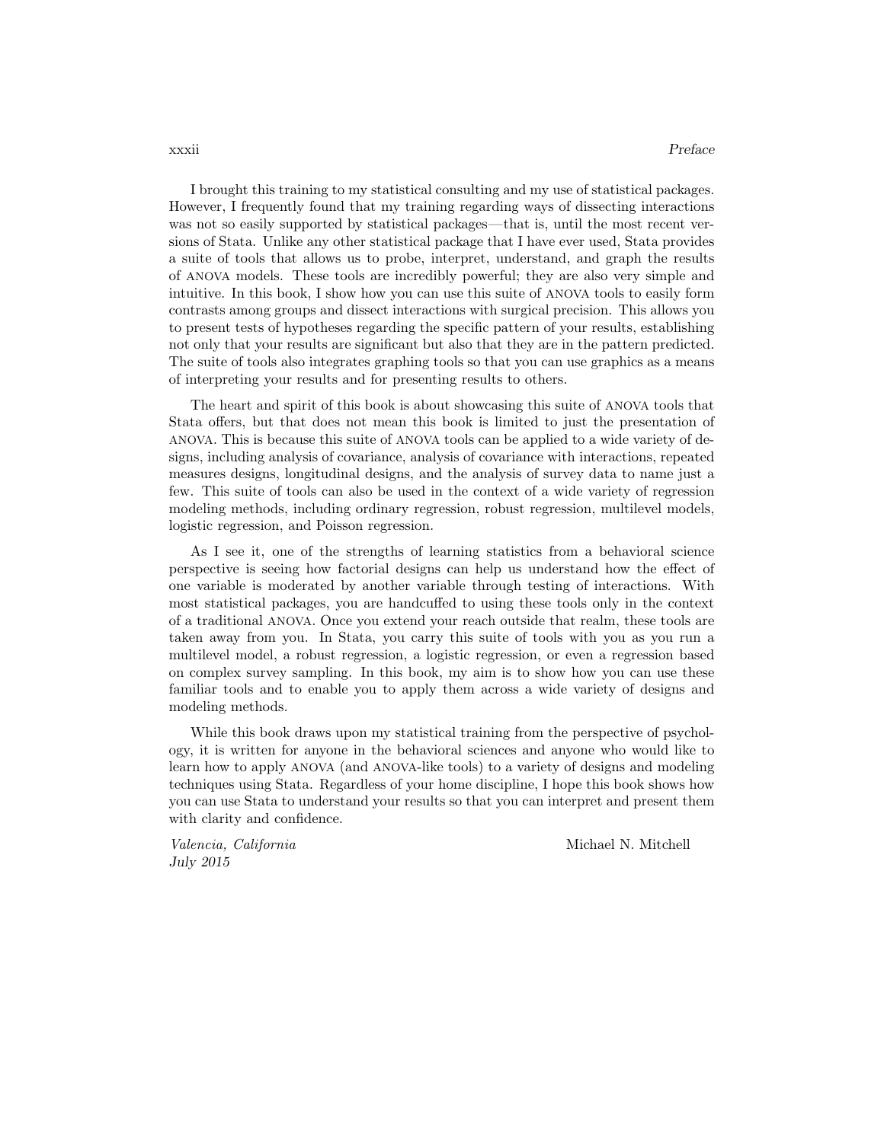I brought this training to my statistical consulting and my use of statistical packages. However, I frequently found that my training regarding ways of dissecting interactions was not so easily supported by statistical packages—that is, until the most recent versions of Stata. Unlike any other statistical package that I have ever used, Stata provides a suite of tools that allows us to probe, interpret, understand, and graph the results of ANOVA models. These tools are incredibly powerful; they are also very simple and intuitive. In this book, I show how you can use this suite of ANOVA tools to easily form contrasts among groups and dissect interactions with surgical precision. This allows you to present tests of hypotheses regarding the specific pattern of your results, establishing not only that your results are significant but also that they are in the pattern predicted. The suite of tools also integrates graphing tools so that you can use graphics as a means of interpreting your results and for presenting results to others.

The heart and spirit of this book is about showcasing this suite of ANOVA tools that Stata offers, but that does not mean this book is limited to just the presentation of ANOVA. This is because this suite of ANOVA tools can be applied to a wide variety of designs, including analysis of covariance, analysis of covariance with interactions, repeated measures designs, longitudinal designs, and the analysis of survey data to name just a few. This suite of tools can also be used in the context of a wide variety of regression modeling methods, including ordinary regression, robust regression, multilevel models, logistic regression, and Poisson regression.

As I see it, one of the strengths of learning statistics from a behavioral science perspective is seeing how factorial designs can help us understand how the effect of one variable is moderated by another variable through testing of interactions. With most statistical packages, you are handcuffed to using these tools only in the context of a traditional ANOVA. Once you extend your reach outside that realm, these tools are taken away from you. In Stata, you carry this suite of tools with you as you run a multilevel model, a robust regression, a logistic regression, or even a regression based on complex survey sampling. In this book, my aim is to show how you can use these familiar tools and to enable you to apply them across a wide variety of designs and modeling methods.

While this book draws upon my statistical training from the perspective of psychology, it is written for anyone in the behavioral sciences and anyone who would like to learn how to apply ANOVA (and ANOVA-like tools) to a variety of designs and modeling techniques using Stata. Regardless of your home discipline, I hope this book shows how you can use Stata to understand your results so that you can interpret and present them with clarity and confidence.

July 2015

Valencia, California and Michael N. Mitchell N. Mitchell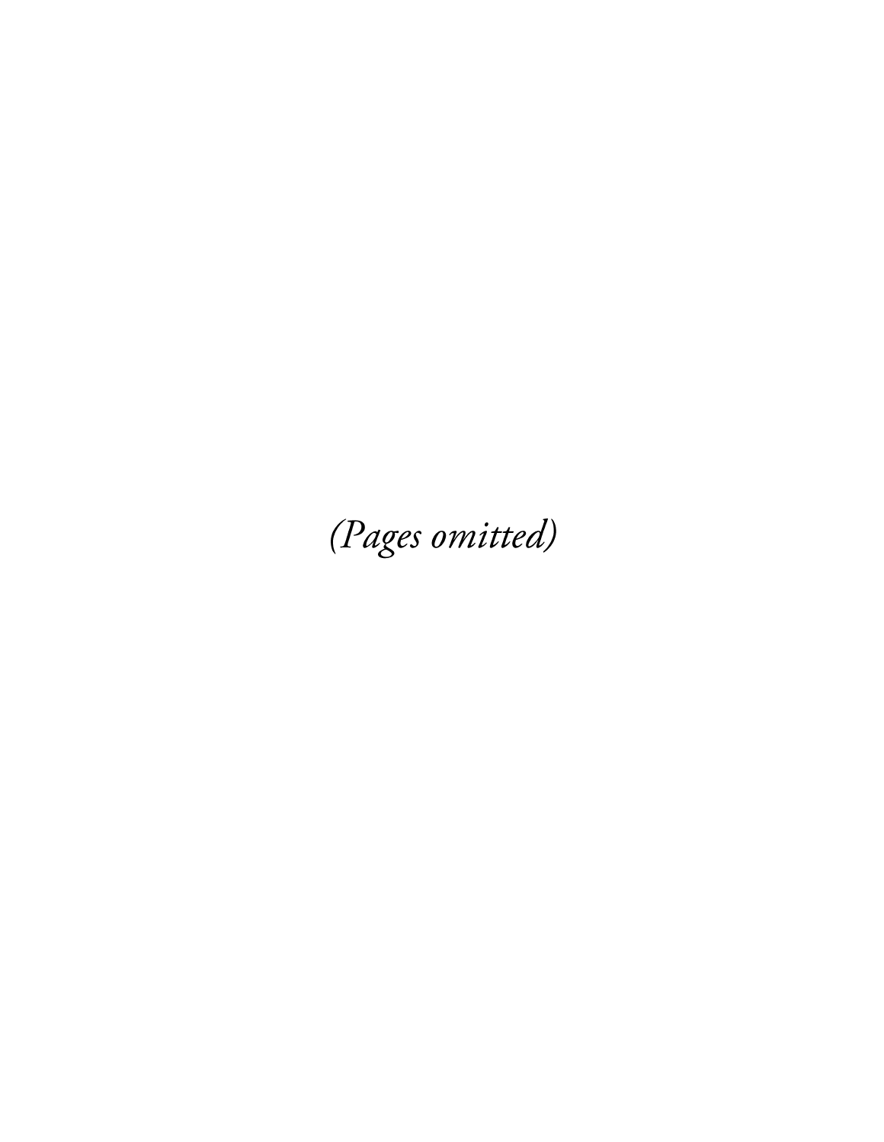(Pages omitted)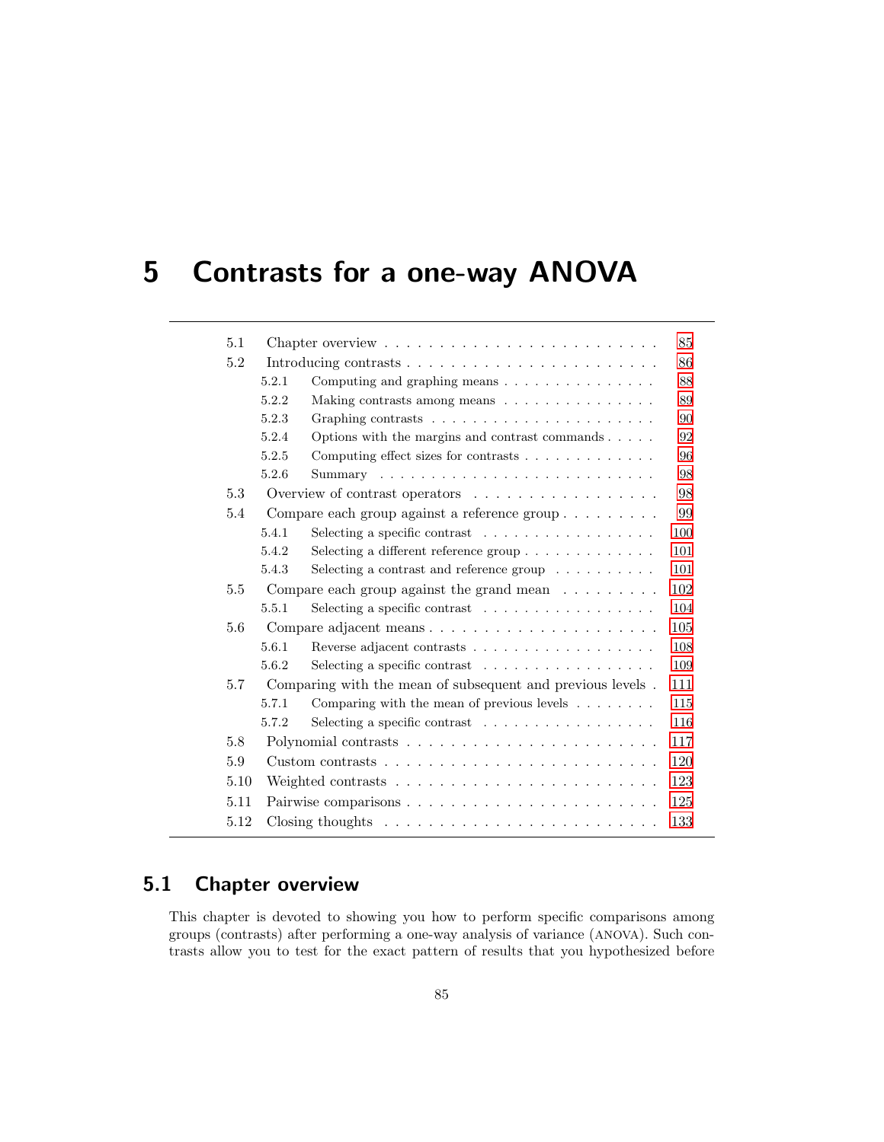# 5 Contrasts for a one-way ANOVA

| 5.1  |       | Chapter overview $\dots \dots \dots \dots \dots \dots \dots \dots \dots \dots$  | 85  |
|------|-------|---------------------------------------------------------------------------------|-----|
| 5.2  |       | Introducing contrasts $\ldots \ldots \ldots \ldots \ldots \ldots \ldots \ldots$ | 86  |
|      | 5.2.1 | Computing and graphing means $\dots \dots \dots \dots \dots$                    | 88  |
|      | 5.2.2 | Making contrasts among means                                                    | 89  |
|      | 5.2.3 | Graphing contrasts $\ldots \ldots \ldots \ldots \ldots \ldots \ldots$           | 90  |
|      | 5.2.4 | Options with the margins and contrast commands $\ldots$ .                       | 92  |
|      | 5.2.5 | Computing effect sizes for contrasts                                            | 96  |
|      | 5.2.6 |                                                                                 | 98  |
| 5.3  |       | Overview of contrast operators $\dots \dots \dots \dots \dots$                  | 98  |
| 5.4  |       | Compare each group against a reference group                                    | 99  |
|      | 5.4.1 | Selecting a specific contrast $\ldots \ldots \ldots \ldots \ldots$              | 100 |
|      | 5.4.2 | Selecting a different reference group $\dots \dots \dots \dots$                 | 101 |
|      | 5.4.3 | Selecting a contrast and reference group $\ldots \ldots \ldots$                 | 101 |
| 5.5  |       | Compare each group against the grand mean $\dots \dots$                         | 102 |
|      | 5.5.1 | Selecting a specific contrast                                                   | 104 |
| 5.6  |       | Compare adjacent means                                                          | 105 |
|      | 5.6.1 |                                                                                 | 108 |
|      | 5.6.2 | Selecting a specific contrast $\ldots \ldots \ldots \ldots \ldots$              | 109 |
| 5.7  |       | Comparing with the mean of subsequent and previous levels.                      | 111 |
|      | 5.7.1 | Comparing with the mean of previous levels $\ldots \ldots$                      | 115 |
|      | 5.7.2 | Selecting a specific contrast $\ldots \ldots \ldots \ldots \ldots$              | 116 |
| 5.8  |       |                                                                                 | 117 |
| 5.9  |       |                                                                                 | 120 |
| 5.10 |       |                                                                                 | 123 |
| 5.11 |       |                                                                                 | 125 |
| 5.12 |       | Closing thoughts $\dots \dots \dots \dots \dots \dots \dots \dots \dots \dots$  | 133 |
|      |       |                                                                                 |     |

### 5.1 Chapter overview

This chapter is devoted to showing you how to perform specific comparisons among groups (contrasts) after performing a one-way analysis of variance (ANOVA). Such contrasts allow you to test for the exact pattern of results that you hypothesized before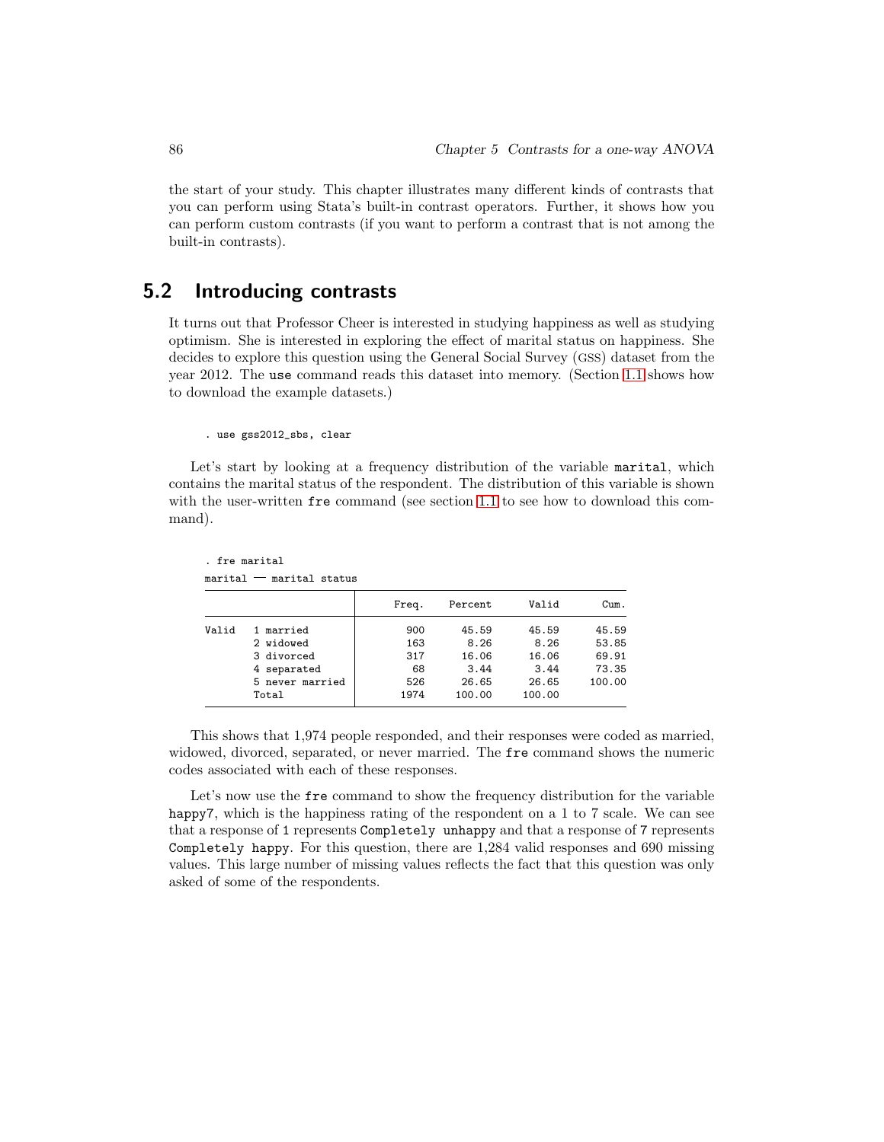the start of your study. This chapter illustrates many different kinds of contrasts that you can perform using Stata's built-in contrast operators. Further, it shows how you can perform custom contrasts (if you want to perform a contrast that is not among the built-in contrasts).

### 5.2 Introducing contrasts

It turns out that Professor Cheer is interested in studying happiness as well as studying optimism. She is interested in exploring the effect of marital status on happiness. She decides to explore this question using the General Social Survey (GSS) dataset from the year 2012. The use command reads this dataset into memory. (Section 1.1 shows how to download the example datasets.)

. use gss2012\_sbs, clear

Let's start by looking at a frequency distribution of the variable marital, which contains the marital status of the respondent. The distribution of this variable is shown with the user-written fre command (see section 1.1 to see how to download this command).

```
. fre marital
marital marital status
```

|       |                 | Freq. | Percent | Valid  | Cum.   |
|-------|-----------------|-------|---------|--------|--------|
| Valid | 1 married       | 900   | 45.59   | 45.59  | 45.59  |
|       | 2 widowed       | 163   | 8.26    | 8.26   | 53.85  |
|       | 3 divorced      | 317   | 16.06   | 16.06  | 69.91  |
|       | 4 separated     | 68    | 3.44    | 3.44   | 73.35  |
|       | 5 never married | 526   | 26.65   | 26.65  | 100.00 |
|       | Total           | 1974  | 100.00  | 100.00 |        |

This shows that 1,974 people responded, and their responses were coded as married, widowed, divorced, separated, or never married. The fre command shows the numeric codes associated with each of these responses.

Let's now use the free command to show the frequency distribution for the variable happy7, which is the happiness rating of the respondent on a 1 to 7 scale. We can see that a response of 1 represents Completely unhappy and that a response of 7 represents Completely happy. For this question, there are 1,284 valid responses and 690 missing values. This large number of missing values reflects the fact that this question was only asked of some of the respondents.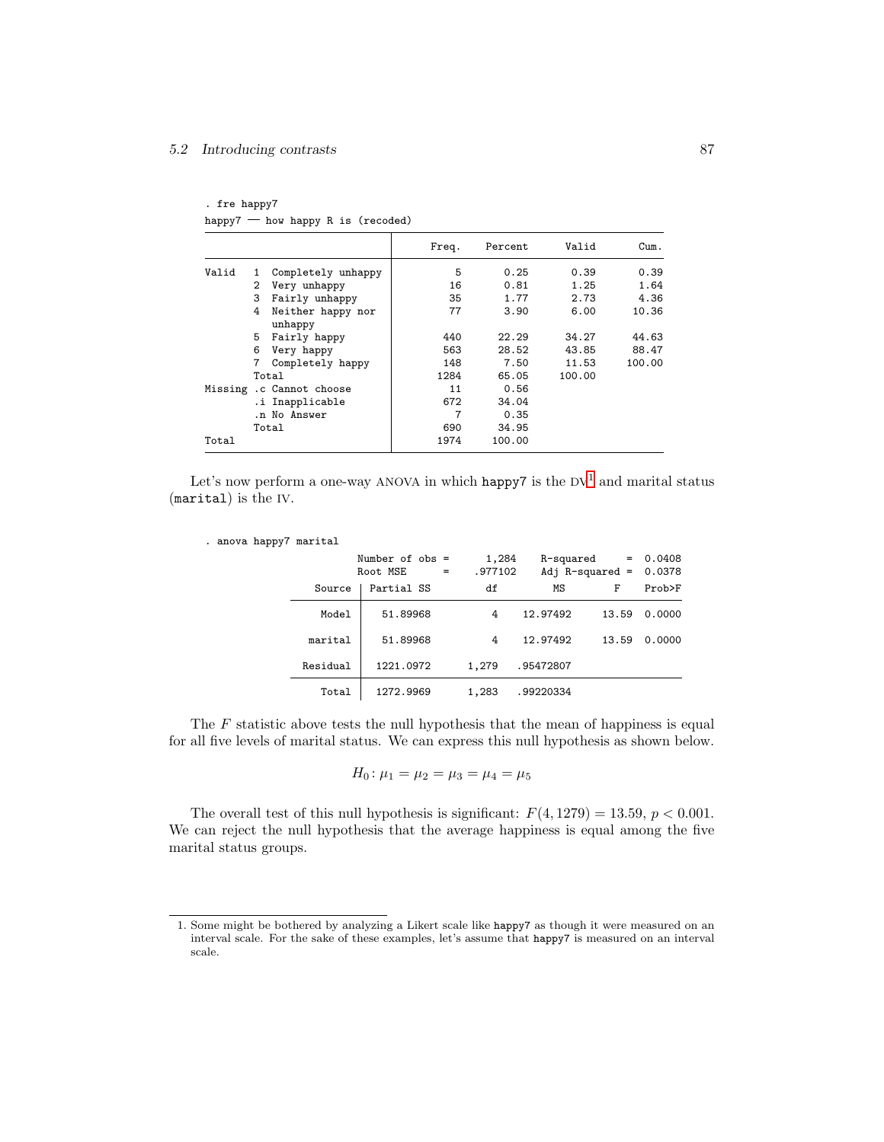### 5.2 Introducing contrasts 87

. fre happy7 happy $7$  – how happy R is (recoded)

|       |   |                              | Freq. | Percent | Valid  | Cum.   |
|-------|---|------------------------------|-------|---------|--------|--------|
| Valid | 1 | Completely unhappy           | 5     | 0.25    | 0.39   | 0.39   |
|       | 2 | Very unhappy                 | 16    | 0.81    | 1.25   | 1.64   |
|       | 3 | Fairly unhappy               | 35    | 1.77    | 2.73   | 4.36   |
|       | 4 | Neither happy nor<br>unhappy | 77    | 3.90    | 6.00   | 10.36  |
|       | 5 | Fairly happy                 | 440   | 22.29   | 34.27  | 44.63  |
|       | 6 | Very happy                   | 563   | 28.52   | 43.85  | 88.47  |
|       |   | Completely happy             | 148   | 7.50    | 11.53  | 100.00 |
|       |   | Total                        | 1284  | 65.05   | 100.00 |        |
|       |   | Missing .c Cannot choose     | 11    | 0.56    |        |        |
|       |   | .i Inapplicable              | 672   | 34.04   |        |        |
|       |   | .n No Answer                 | 7     | 0.35    |        |        |
|       |   | Total                        | 690   | 34.95   |        |        |
| Total |   |                              | 1974  | 100.00  |        |        |

Let's now perform a one-way ANOVA in which happy7 is the  $DV^1$  and marital status (marital) is the IV.

. anova happy7 marital

|          | Number of $obs =$<br>Root MSE<br>$=$ | 1,284<br>.977102 | R-squared | Adj $R$ -squared = 0.0378 | $= 0.0408$ |
|----------|--------------------------------------|------------------|-----------|---------------------------|------------|
| Source   | Partial SS                           | df               | MS        | F                         | Prob>F     |
| Model    | 51.89968                             | 4                | 12.97492  | 13.59                     | 0.0000     |
| marital  | 51.89968                             | 4                | 12.97492  | 13.59                     | 0.0000     |
| Residual | 1221.0972                            | 1,279            | .95472807 |                           |            |
| Total    | 1272.9969                            | 1,283            | .99220334 |                           |            |

The  $F$  statistic above tests the null hypothesis that the mean of happiness is equal for all five levels of marital status. We can express this null hypothesis as shown below.

$$
H_0: \mu_1 = \mu_2 = \mu_3 = \mu_4 = \mu_5
$$

The overall test of this null hypothesis is significant:  $F(4, 1279) = 13.59$ ,  $p < 0.001$ . We can reject the null hypothesis that the average happiness is equal among the five marital status groups.

<sup>1.</sup> Some might be bothered by analyzing a Likert scale like happy7 as though it were measured on an interval scale. For the sake of these examples, let's assume that happy7 is measured on an interval scale.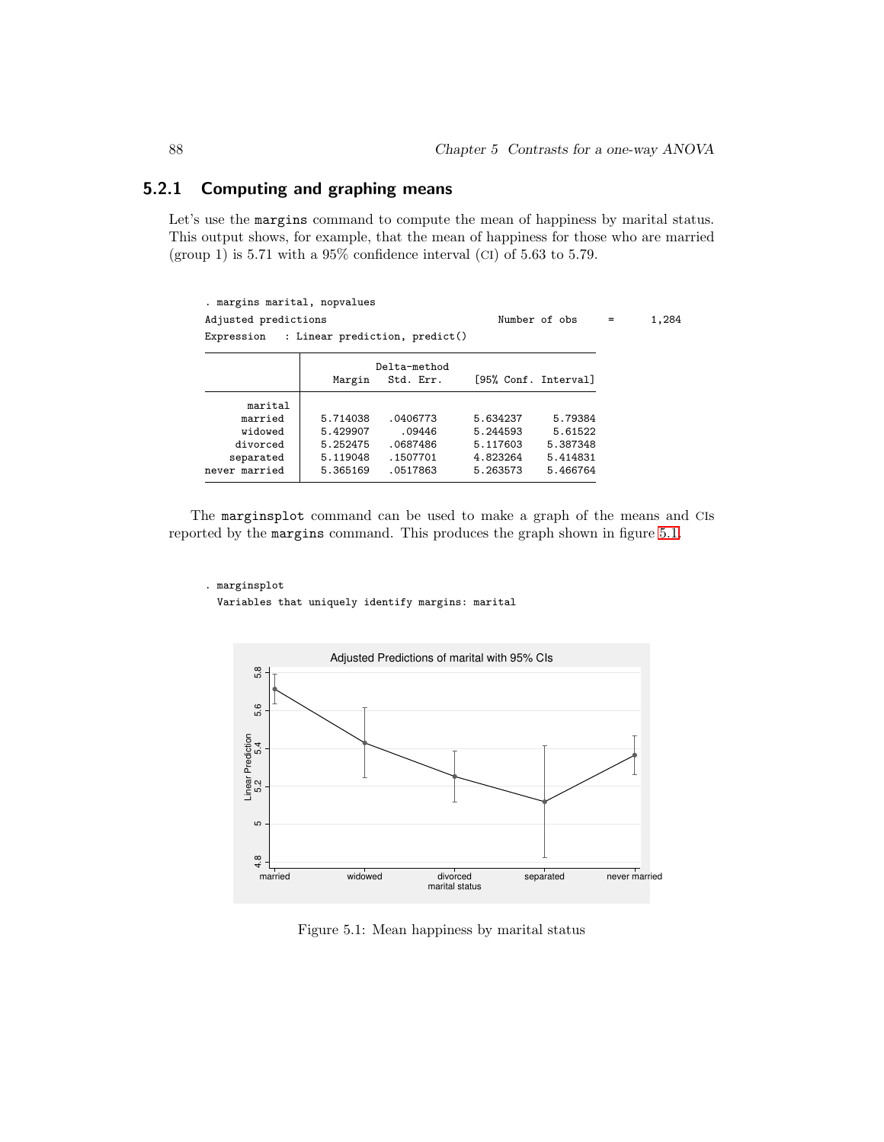### 5.2.1 Computing and graphing means

Let's use the margins command to compute the mean of happiness by marital status. This output shows, for example, that the mean of happiness for those who are married (group 1) is  $5.71$  with a  $95\%$  confidence interval (CI) of  $5.63$  to  $5.79$ .

| . margins marital, nopvalues |          |                           |                                           |                                       |     |
|------------------------------|----------|---------------------------|-------------------------------------------|---------------------------------------|-----|
| Adjusted predictions         |          |                           |                                           | 1,284                                 |     |
|                              |          |                           |                                           |                                       |     |
|                              |          |                           |                                           |                                       |     |
| Margin                       |          |                           |                                           |                                       |     |
|                              |          |                           |                                           |                                       |     |
| 5.714038                     | .0406773 | 5.634237                  | 5.79384                                   |                                       |     |
| 5.429907                     | .09446   | 5.244593                  | 5.61522                                   |                                       |     |
| 5.252475                     | .0687486 | 5.117603                  | 5.387348                                  |                                       |     |
| 5.119048                     | .1507701 | 4.823264                  | 5.414831                                  |                                       |     |
| 5.365169                     | .0517863 | 5.263573                  | 5.466764                                  |                                       |     |
|                              |          | Delta-method<br>Std. Err. | Expression : Linear prediction, predict() | Number of obs<br>[95% Conf. Interval] | $=$ |

The marginsplot command can be used to make a graph of the means and CIs reported by the margins command. This produces the graph shown in figure 5.1.

. marginsplot Variables that uniquely identify margins: marital



Figure 5.1: Mean happiness by marital status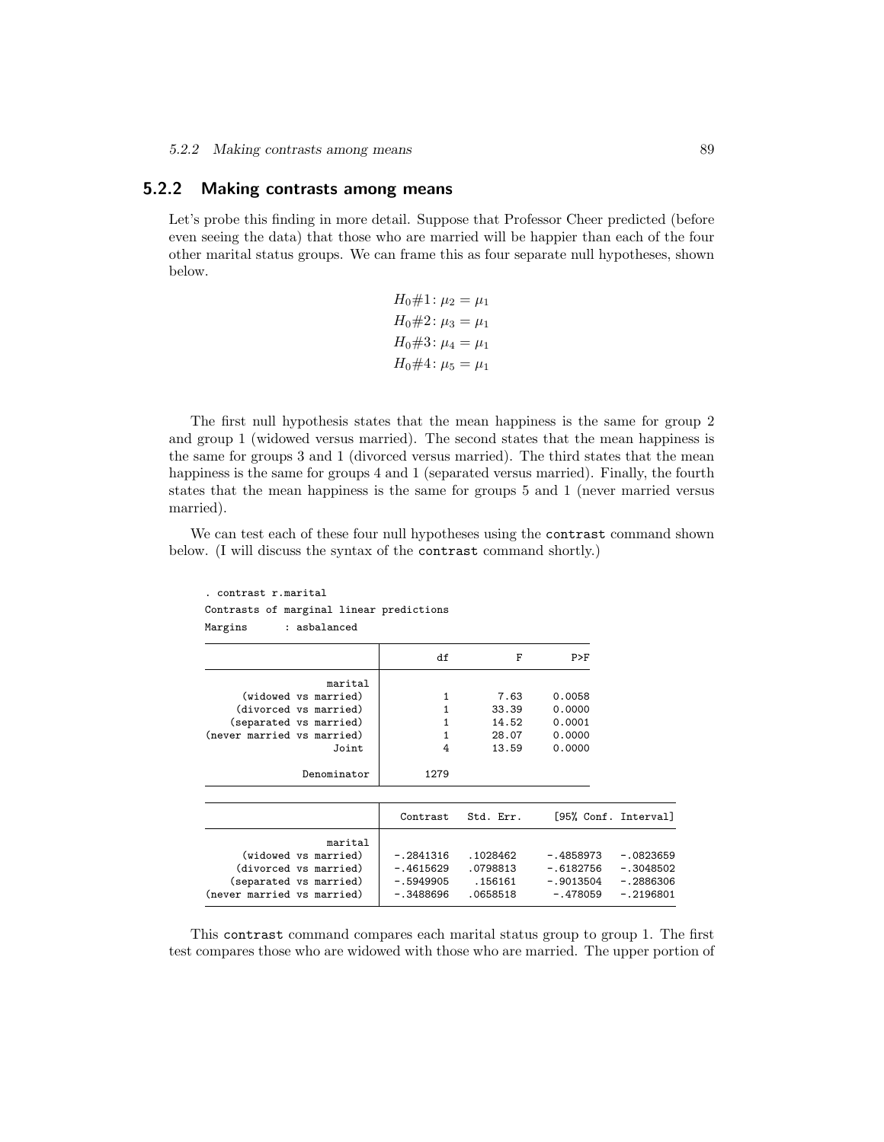### 5.2.2 Making contrasts among means

Let's probe this finding in more detail. Suppose that Professor Cheer predicted (before even seeing the data) that those who are married will be happier than each of the four other marital status groups. We can frame this as four separate null hypotheses, shown below.

$$
H_0 \# 1: \mu_2 = \mu_1
$$
  
\n
$$
H_0 \# 2: \mu_3 = \mu_1
$$
  
\n
$$
H_0 \# 3: \mu_4 = \mu_1
$$
  
\n
$$
H_0 \# 4: \mu_5 = \mu_1
$$

The first null hypothesis states that the mean happiness is the same for group 2 and group 1 (widowed versus married). The second states that the mean happiness is the same for groups 3 and 1 (divorced versus married). The third states that the mean happiness is the same for groups 4 and 1 (separated versus married). Finally, the fourth states that the mean happiness is the same for groups 5 and 1 (never married versus married).

We can test each of these four null hypotheses using the contrast command shown below. (I will discuss the syntax of the contrast command shortly.)

| . contrast r.marital                                                               |                                       |                                 |                                         |                                           |
|------------------------------------------------------------------------------------|---------------------------------------|---------------------------------|-----------------------------------------|-------------------------------------------|
| Contrasts of marginal linear predictions                                           |                                       |                                 |                                         |                                           |
| Margins<br>: asbalanced                                                            |                                       |                                 |                                         |                                           |
|                                                                                    | df                                    | F                               | P>F                                     |                                           |
| marital                                                                            |                                       |                                 |                                         |                                           |
| (widowed vs married)                                                               | 1                                     | 7.63                            | 0.0058                                  |                                           |
| (divorced vs married)                                                              | 1                                     | 33.39                           | 0.0000                                  |                                           |
| (separated vs married)                                                             | 1                                     | 14.52                           | 0.0001                                  |                                           |
| (never married vs married)                                                         | 1                                     | 28.07                           | 0.0000                                  |                                           |
| Joint                                                                              | 4                                     | 13.59                           | 0.0000                                  |                                           |
| Denominator                                                                        | 1279                                  |                                 |                                         |                                           |
|                                                                                    | Contrast                              | Std. Err.                       |                                         | [95% Conf. Interval]                      |
|                                                                                    |                                       |                                 |                                         |                                           |
| marital<br>(widowed vs married)<br>(divorced vs married)<br>(separated vs married) | $-.2841316$<br>-.4615629<br>-.5949905 | .1028462<br>.0798813<br>.156161 | -.4858973<br>$-.6182756$<br>$-.9013504$ | $-.0823659$<br>$-.3048502$<br>$-.2886306$ |
| (never married vs married)                                                         | -.3488696                             | .0658518                        | $-.478059$                              | $-.2196801$                               |

This contrast command compares each marital status group to group 1. The first test compares those who are widowed with those who are married. The upper portion of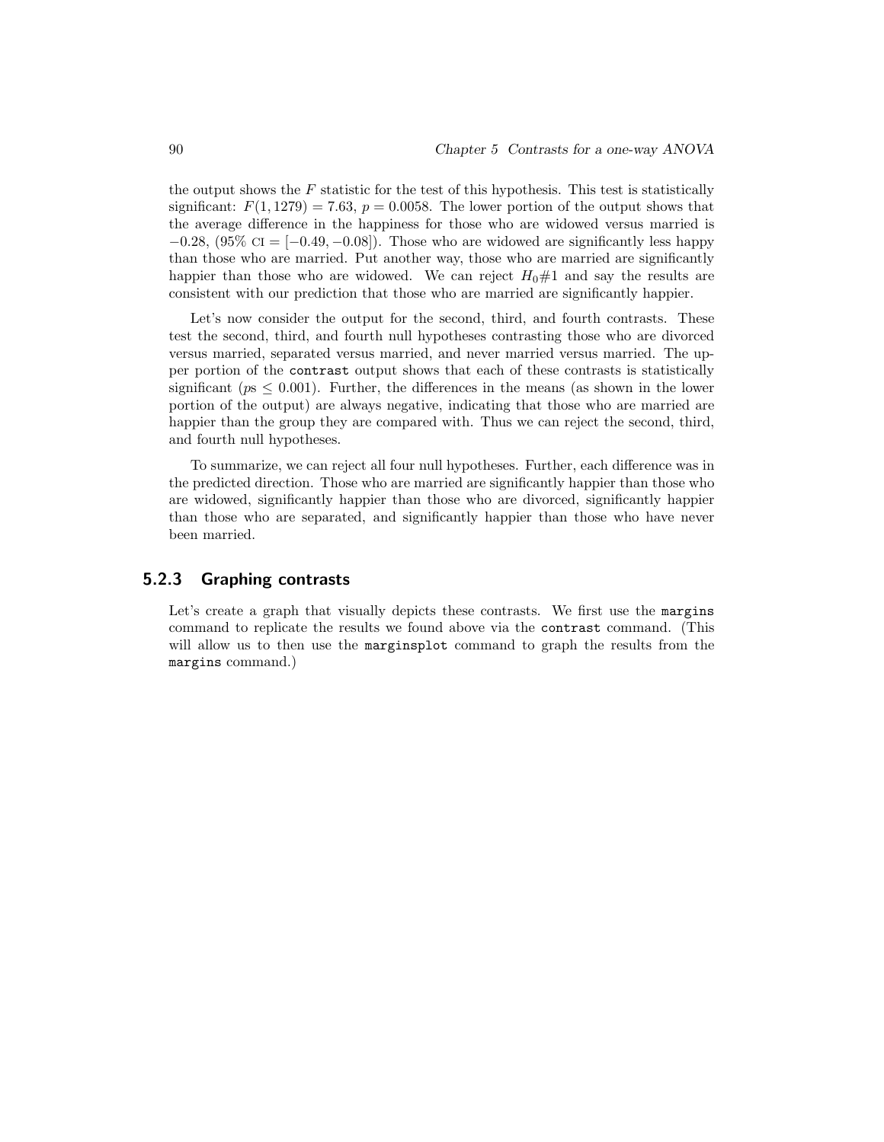the output shows the  $F$  statistic for the test of this hypothesis. This test is statistically significant:  $F(1, 1279) = 7.63$ ,  $p = 0.0058$ . The lower portion of the output shows that the average difference in the happiness for those who are widowed versus married is  $-0.28$ ,  $(95\% \text{ CI} = [-0.49, -0.08])$ . Those who are widowed are significantly less happy than those who are married. Put another way, those who are married are significantly happier than those who are widowed. We can reject  $H_0 \# 1$  and say the results are consistent with our prediction that those who are married are significantly happier.

Let's now consider the output for the second, third, and fourth contrasts. These test the second, third, and fourth null hypotheses contrasting those who are divorced versus married, separated versus married, and never married versus married. The upper portion of the contrast output shows that each of these contrasts is statistically significant ( $ps \leq 0.001$ ). Further, the differences in the means (as shown in the lower portion of the output) are always negative, indicating that those who are married are happier than the group they are compared with. Thus we can reject the second, third, and fourth null hypotheses.

To summarize, we can reject all four null hypotheses. Further, each difference was in the predicted direction. Those who are married are significantly happier than those who are widowed, significantly happier than those who are divorced, significantly happier than those who are separated, and significantly happier than those who have never been married.

### 5.2.3 Graphing contrasts

Let's create a graph that visually depicts these contrasts. We first use the margins command to replicate the results we found above via the contrast command. (This will allow us to then use the marginsplot command to graph the results from the margins command.)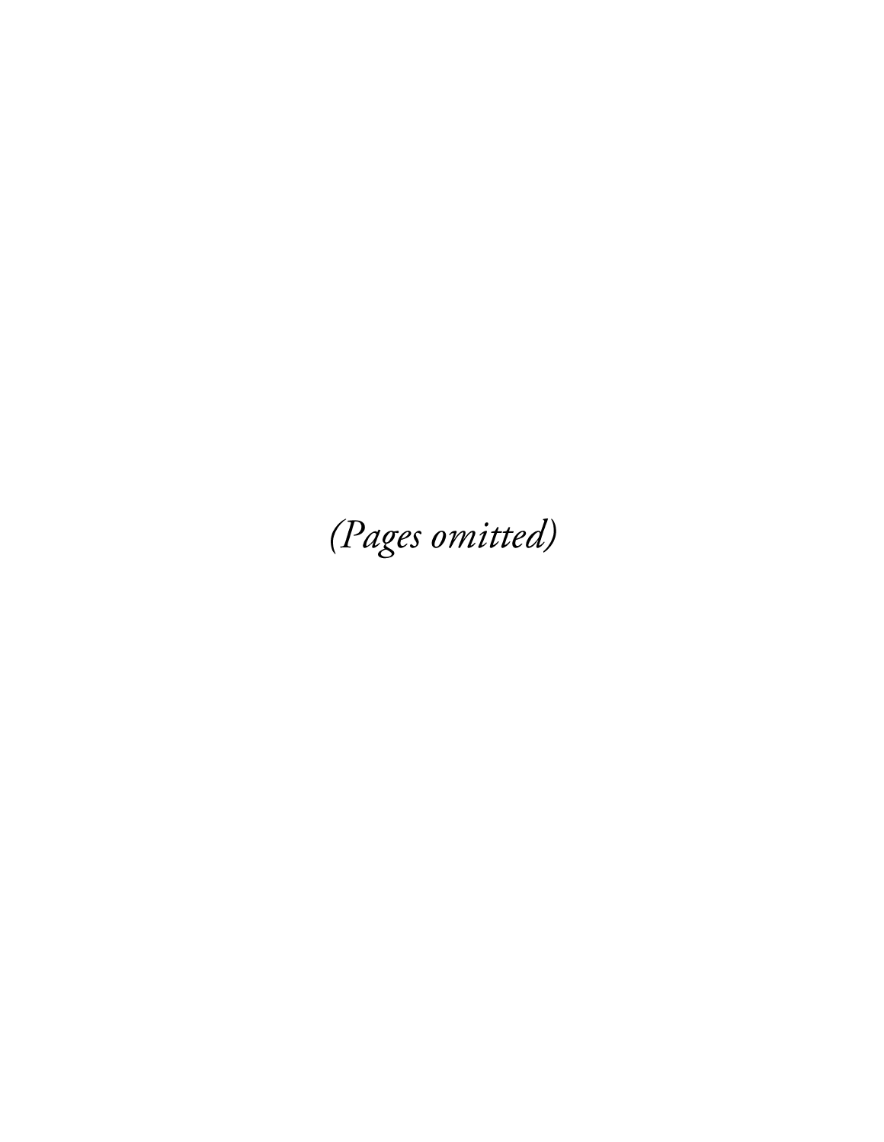(Pages omitted)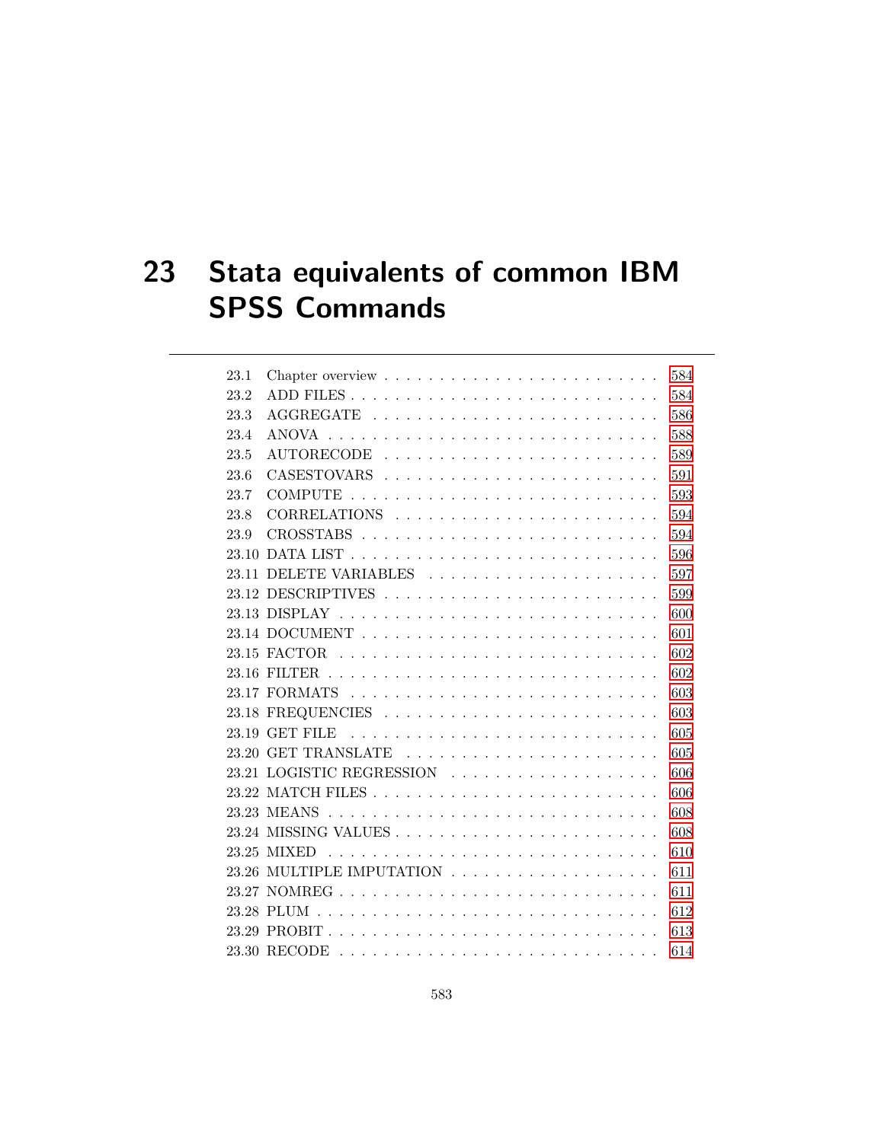# 23 Stata equivalents of common IBM SPSS Commands

| 23.1 | Chapter overview $\dots \dots \dots \dots \dots \dots \dots \dots$ | 584 |
|------|--------------------------------------------------------------------|-----|
| 23.2 |                                                                    | 584 |
| 23.3 |                                                                    | 586 |
| 23.4 |                                                                    | 588 |
| 23.5 | AUTORECODE                                                         | 589 |
| 23.6 |                                                                    | 591 |
| 23.7 |                                                                    | 593 |
| 23.8 |                                                                    | 594 |
| 23.9 |                                                                    | 594 |
|      |                                                                    | 596 |
|      | 23.11 DELETE VARIABLES                                             | 597 |
|      |                                                                    | 599 |
|      |                                                                    | 600 |
|      |                                                                    | 601 |
|      |                                                                    | 602 |
|      |                                                                    | 602 |
|      |                                                                    | 603 |
|      |                                                                    | 603 |
|      |                                                                    | 605 |
|      |                                                                    | 605 |
|      | 23.21 LOGISTIC REGRESSION                                          | 606 |
|      |                                                                    | 606 |
|      |                                                                    | 608 |
|      |                                                                    | 608 |
|      |                                                                    | 610 |
|      |                                                                    | 611 |
|      |                                                                    | 611 |
|      |                                                                    | 612 |
|      |                                                                    | 613 |
|      |                                                                    | 614 |
|      |                                                                    |     |